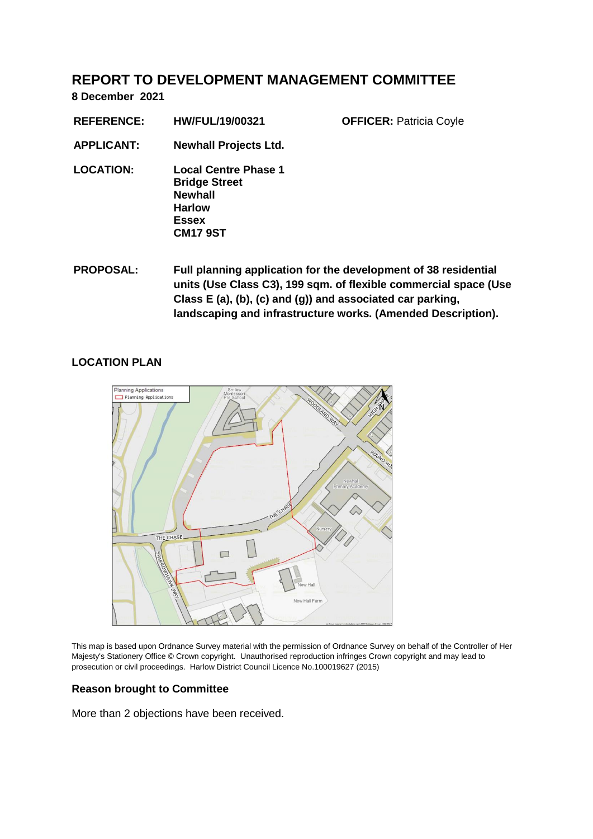# **REPORT TO DEVELOPMENT MANAGEMENT COMMITTEE**

**8 December 2021**

| <b>REFERENCE:</b> | <b>HW/FUL/19/00321</b>                                                                                                    | <b>OFFICER: Patricia Coyle</b>                               |
|-------------------|---------------------------------------------------------------------------------------------------------------------------|--------------------------------------------------------------|
| <b>APPLICANT:</b> | <b>Newhall Projects Ltd.</b>                                                                                              |                                                              |
| <b>LOCATION:</b>  | <b>Local Centre Phase 1</b><br><b>Bridge Street</b><br><b>Newhall</b><br><b>Harlow</b><br><b>Essex</b><br><b>CM17 9ST</b> |                                                              |
| <b>DDADACAL.</b>  |                                                                                                                           | Eull planning application for the development of 20 resident |

**PROPOSAL: Full planning application for the development of 38 residential units (Use Class C3), 199 sqm. of flexible commercial space (Use Class E (a), (b), (c) and (g)) and associated car parking, landscaping and infrastructure works. (Amended Description).**

## **LOCATION PLAN**



This map is based upon Ordnance Survey material with the permission of Ordnance Survey on behalf of the Controller of Her Majesty's Stationery Office © Crown copyright. Unauthorised reproduction infringes Crown copyright and may lead to prosecution or civil proceedings. Harlow District Council Licence No.100019627 (2015)

# **Reason brought to Committee**

More than 2 objections have been received.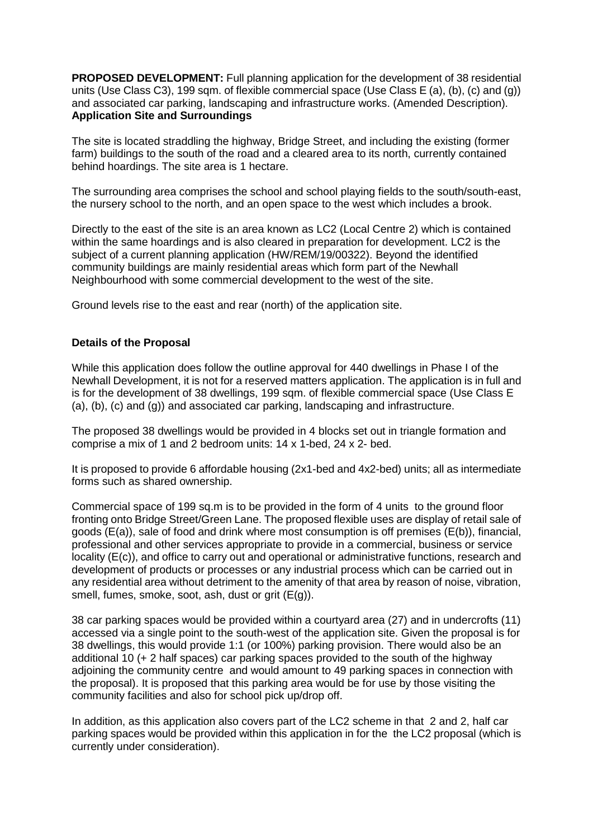**PROPOSED DEVELOPMENT:** Full planning application for the development of 38 residential units (Use Class C3), 199 sqm. of flexible commercial space (Use Class E (a), (b), (c) and (g)) and associated car parking, landscaping and infrastructure works. (Amended Description). **Application Site and Surroundings**

The site is located straddling the highway, Bridge Street, and including the existing (former farm) buildings to the south of the road and a cleared area to its north, currently contained behind hoardings. The site area is 1 hectare.

The surrounding area comprises the school and school playing fields to the south/south-east, the nursery school to the north, and an open space to the west which includes a brook.

Directly to the east of the site is an area known as LC2 (Local Centre 2) which is contained within the same hoardings and is also cleared in preparation for development. LC2 is the subject of a current planning application (HW/REM/19/00322). Beyond the identified community buildings are mainly residential areas which form part of the Newhall Neighbourhood with some commercial development to the west of the site.

Ground levels rise to the east and rear (north) of the application site.

## **Details of the Proposal**

While this application does follow the outline approval for 440 dwellings in Phase I of the Newhall Development, it is not for a reserved matters application. The application is in full and is for the development of 38 dwellings, 199 sqm. of flexible commercial space (Use Class E (a), (b), (c) and (g)) and associated car parking, landscaping and infrastructure.

The proposed 38 dwellings would be provided in 4 blocks set out in triangle formation and comprise a mix of 1 and 2 bedroom units: 14 x 1-bed, 24 x 2- bed.

It is proposed to provide 6 affordable housing (2x1-bed and 4x2-bed) units; all as intermediate forms such as shared ownership.

Commercial space of 199 sq.m is to be provided in the form of 4 units to the ground floor fronting onto Bridge Street/Green Lane. The proposed flexible uses are display of retail sale of goods (E(a)), sale of food and drink where most consumption is off premises (E(b)), financial, professional and other services appropriate to provide in a commercial, business or service locality (E(c)), and office to carry out and operational or administrative functions, research and development of products or processes or any industrial process which can be carried out in any residential area without detriment to the amenity of that area by reason of noise, vibration, smell, fumes, smoke, soot, ash, dust or grit (E(g)).

38 car parking spaces would be provided within a courtyard area (27) and in undercrofts (11) accessed via a single point to the south-west of the application site. Given the proposal is for 38 dwellings, this would provide 1:1 (or 100%) parking provision. There would also be an additional 10 (+ 2 half spaces) car parking spaces provided to the south of the highway adjoining the community centre and would amount to 49 parking spaces in connection with the proposal). It is proposed that this parking area would be for use by those visiting the community facilities and also for school pick up/drop off.

In addition, as this application also covers part of the LC2 scheme in that 2 and 2, half car parking spaces would be provided within this application in for the the LC2 proposal (which is currently under consideration).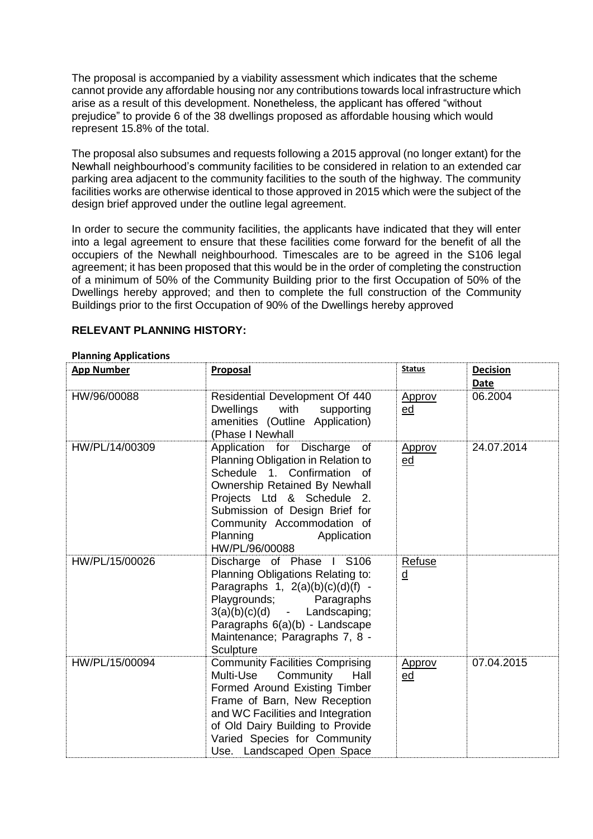The proposal is accompanied by a viability assessment which indicates that the scheme cannot provide any affordable housing nor any contributions towards local infrastructure which arise as a result of this development. Nonetheless, the applicant has offered "without prejudice" to provide 6 of the 38 dwellings proposed as affordable housing which would represent 15.8% of the total.

The proposal also subsumes and requests following a 2015 approval (no longer extant) for the Newhall neighbourhood's community facilities to be considered in relation to an extended car parking area adjacent to the community facilities to the south of the highway. The community facilities works are otherwise identical to those approved in 2015 which were the subject of the design brief approved under the outline legal agreement.

In order to secure the community facilities, the applicants have indicated that they will enter into a legal agreement to ensure that these facilities come forward for the benefit of all the occupiers of the Newhall neighbourhood. Timescales are to be agreed in the S106 legal agreement; it has been proposed that this would be in the order of completing the construction of a minimum of 50% of the Community Building prior to the first Occupation of 50% of the Dwellings hereby approved; and then to complete the full construction of the Community Buildings prior to the first Occupation of 90% of the Dwellings hereby approved

| <b>App Number</b> | Proposal                                                                                                                                                                                                                                                                                | <b>Status</b>                      | <b>Decision</b><br>Date |
|-------------------|-----------------------------------------------------------------------------------------------------------------------------------------------------------------------------------------------------------------------------------------------------------------------------------------|------------------------------------|-------------------------|
| HW/96/00088       | Residential Development Of 440<br>Dwellings<br>with supporting<br>amenities (Outline Application)<br>(Phase I Newhall                                                                                                                                                                   | Approv<br>ed                       | 06.2004                 |
| HW/PL/14/00309    | Application for Discharge<br>of<br>Planning Obligation in Relation to<br>Schedule 1. Confirmation of<br><b>Ownership Retained By Newhall</b><br>Projects Ltd & Schedule 2.<br>Submission of Design Brief for<br>Community Accommodation of<br>Planning<br>Application<br>HW/PL/96/00088 | Approv<br>ed                       | 24.07.2014              |
| HW/PL/15/00026    | Discharge of Phase I S106<br>Planning Obligations Relating to:<br>Paragraphs $1, 2(a)(b)(c)(d)(f) -$<br>Playgrounds;<br>Paragraphs<br>$3(a)(b)(c)(d)$ - Landscaping;<br>Paragraphs 6(a)(b) - Landscape<br>Maintenance; Paragraphs 7, 8 -<br>Sculpture                                   | Refuse<br>$\underline{\mathsf{d}}$ |                         |
| HW/PL/15/00094    | <b>Community Facilities Comprising</b><br>Multi-Use<br>Community<br>Hall<br>Formed Around Existing Timber<br>Frame of Barn, New Reception<br>and WC Facilities and Integration<br>of Old Dairy Building to Provide<br>Varied Species for Community<br>Use. Landscaped Open Space        | Approv<br>ed                       | 07.04.2015              |

## **RELEVANT PLANNING HISTORY:**

#### **Planning Applications**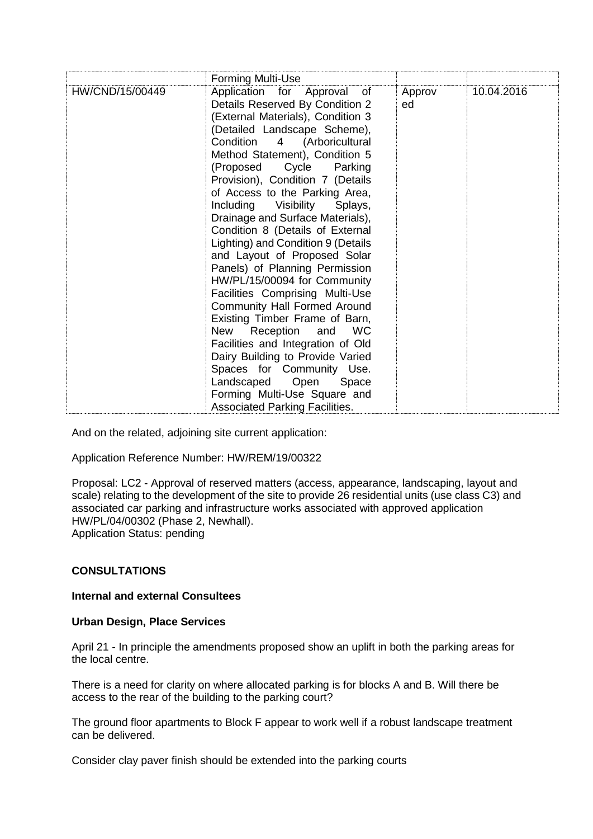|                 | Forming Multi-Use                                                                                                                                                                                                                                                                                                                                                                                                                                                                                                                                                                                                                                                                                                                                                                                                                                                                                 |              |            |
|-----------------|---------------------------------------------------------------------------------------------------------------------------------------------------------------------------------------------------------------------------------------------------------------------------------------------------------------------------------------------------------------------------------------------------------------------------------------------------------------------------------------------------------------------------------------------------------------------------------------------------------------------------------------------------------------------------------------------------------------------------------------------------------------------------------------------------------------------------------------------------------------------------------------------------|--------------|------------|
| HW/CND/15/00449 | Application for Approval of<br>Details Reserved By Condition 2<br>(External Materials), Condition 3<br>(Detailed Landscape Scheme),<br>Condition 4 (Arboricultural<br>Method Statement), Condition 5<br>(Proposed Cycle Parking<br>Provision), Condition 7 (Details<br>of Access to the Parking Area,<br>Including Visibility Splays,<br>Drainage and Surface Materials),<br>Condition 8 (Details of External<br>Lighting) and Condition 9 (Details<br>and Layout of Proposed Solar<br>Panels) of Planning Permission<br>HW/PL/15/00094 for Community<br>Facilities Comprising Multi-Use<br><b>Community Hall Formed Around</b><br>Existing Timber Frame of Barn,<br>New Reception and WC<br>Facilities and Integration of Old<br>Dairy Building to Provide Varied<br>Spaces for Community Use.<br>Landscaped Open Space<br>Forming Multi-Use Square and<br><b>Associated Parking Facilities.</b> | Approv<br>ed | 10.04.2016 |

And on the related, adjoining site current application:

Application Reference Number: HW/REM/19/00322

Proposal: LC2 - Approval of reserved matters (access, appearance, landscaping, layout and scale) relating to the development of the site to provide 26 residential units (use class C3) and associated car parking and infrastructure works associated with approved application HW/PL/04/00302 (Phase 2, Newhall). Application Status: pending

## **CONSULTATIONS**

#### **Internal and external Consultees**

#### **Urban Design, Place Services**

April 21 - In principle the amendments proposed show an uplift in both the parking areas for the local centre.

There is a need for clarity on where allocated parking is for blocks A and B. Will there be access to the rear of the building to the parking court?

The ground floor apartments to Block F appear to work well if a robust landscape treatment can be delivered.

Consider clay paver finish should be extended into the parking courts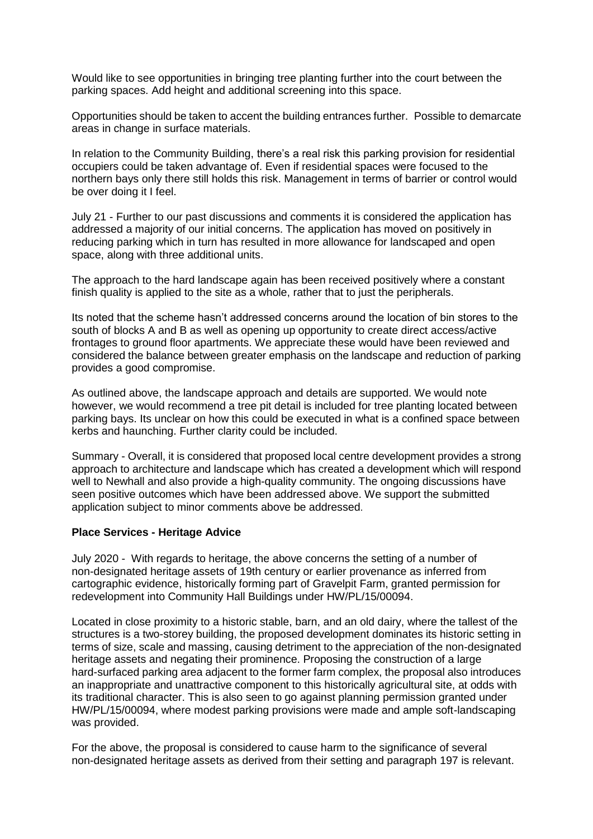Would like to see opportunities in bringing tree planting further into the court between the parking spaces. Add height and additional screening into this space.

Opportunities should be taken to accent the building entrances further. Possible to demarcate areas in change in surface materials.

In relation to the Community Building, there's a real risk this parking provision for residential occupiers could be taken advantage of. Even if residential spaces were focused to the northern bays only there still holds this risk. Management in terms of barrier or control would be over doing it I feel.

July 21 - Further to our past discussions and comments it is considered the application has addressed a majority of our initial concerns. The application has moved on positively in reducing parking which in turn has resulted in more allowance for landscaped and open space, along with three additional units.

The approach to the hard landscape again has been received positively where a constant finish quality is applied to the site as a whole, rather that to just the peripherals.

Its noted that the scheme hasn't addressed concerns around the location of bin stores to the south of blocks A and B as well as opening up opportunity to create direct access/active frontages to ground floor apartments. We appreciate these would have been reviewed and considered the balance between greater emphasis on the landscape and reduction of parking provides a good compromise.

As outlined above, the landscape approach and details are supported. We would note however, we would recommend a tree pit detail is included for tree planting located between parking bays. Its unclear on how this could be executed in what is a confined space between kerbs and haunching. Further clarity could be included.

Summary - Overall, it is considered that proposed local centre development provides a strong approach to architecture and landscape which has created a development which will respond well to Newhall and also provide a high-quality community. The ongoing discussions have seen positive outcomes which have been addressed above. We support the submitted application subject to minor comments above be addressed.

#### **Place Services - Heritage Advice**

July 2020 - With regards to heritage, the above concerns the setting of a number of non-designated heritage assets of 19th century or earlier provenance as inferred from cartographic evidence, historically forming part of Gravelpit Farm, granted permission for redevelopment into Community Hall Buildings under HW/PL/15/00094.

Located in close proximity to a historic stable, barn, and an old dairy, where the tallest of the structures is a two-storey building, the proposed development dominates its historic setting in terms of size, scale and massing, causing detriment to the appreciation of the non-designated heritage assets and negating their prominence. Proposing the construction of a large hard-surfaced parking area adjacent to the former farm complex, the proposal also introduces an inappropriate and unattractive component to this historically agricultural site, at odds with its traditional character. This is also seen to go against planning permission granted under HW/PL/15/00094, where modest parking provisions were made and ample soft-landscaping was provided.

For the above, the proposal is considered to cause harm to the significance of several non-designated heritage assets as derived from their setting and paragraph 197 is relevant.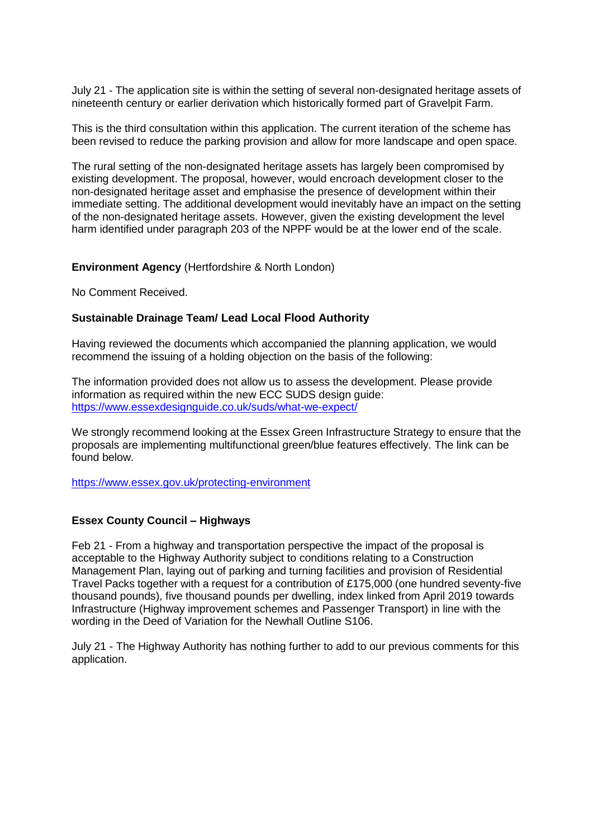July 21 - The application site is within the setting of several non-designated heritage assets of nineteenth century or earlier derivation which historically formed part of Gravelpit Farm.

This is the third consultation within this application. The current iteration of the scheme has been revised to reduce the parking provision and allow for more landscape and open space.

The rural setting of the non-designated heritage assets has largely been compromised by existing development. The proposal, however, would encroach development closer to the non-designated heritage asset and emphasise the presence of development within their immediate setting. The additional development would inevitably have an impact on the setting of the non-designated heritage assets. However, given the existing development the level harm identified under paragraph 203 of the NPPF would be at the lower end of the scale.

#### **Environment Agency** (Hertfordshire & North London)

No Comment Received.

#### **Sustainable Drainage Team/ Lead Local Flood Authority**

Having reviewed the documents which accompanied the planning application, we would recommend the issuing of a holding objection on the basis of the following:

The information provided does not allow us to assess the development. Please provide information as required within the new ECC SUDS design guide: <https://www.essexdesignguide.co.uk/suds/what-we-expect/>

We strongly recommend looking at the Essex Green Infrastructure Strategy to ensure that the proposals are implementing multifunctional green/blue features effectively. The link can be found below.

<https://www.essex.gov.uk/protecting-environment>

#### **Essex County Council – Highways**

Feb 21 - From a highway and transportation perspective the impact of the proposal is acceptable to the Highway Authority subject to conditions relating to a Construction Management Plan, laying out of parking and turning facilities and provision of Residential Travel Packs together with a request for a contribution of £175,000 (one hundred seventy-five thousand pounds), five thousand pounds per dwelling, index linked from April 2019 towards Infrastructure (Highway improvement schemes and Passenger Transport) in line with the wording in the Deed of Variation for the Newhall Outline S106.

July 21 - The Highway Authority has nothing further to add to our previous comments for this application.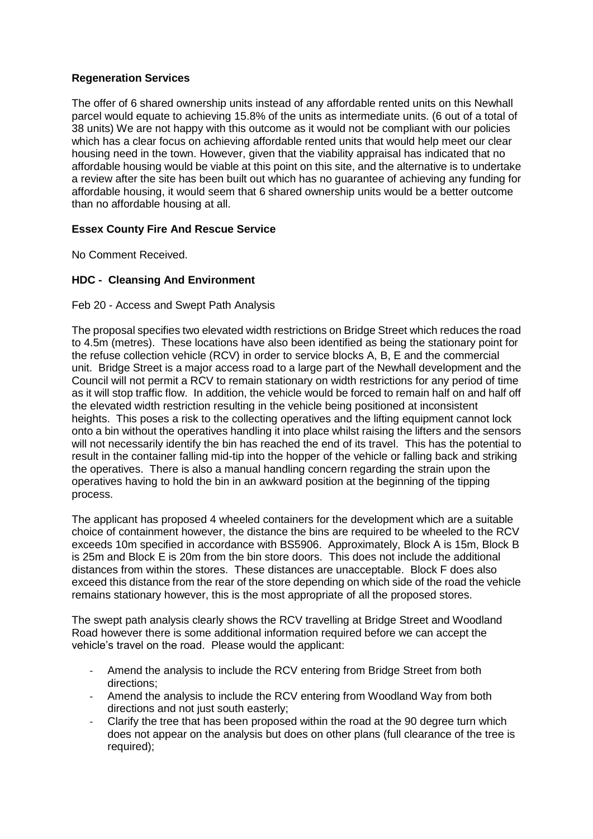# **Regeneration Services**

The offer of 6 shared ownership units instead of any affordable rented units on this Newhall parcel would equate to achieving 15.8% of the units as intermediate units. (6 out of a total of 38 units) We are not happy with this outcome as it would not be compliant with our policies which has a clear focus on achieving affordable rented units that would help meet our clear housing need in the town. However, given that the viability appraisal has indicated that no affordable housing would be viable at this point on this site, and the alternative is to undertake a review after the site has been built out which has no guarantee of achieving any funding for affordable housing, it would seem that 6 shared ownership units would be a better outcome than no affordable housing at all.

# **Essex County Fire And Rescue Service**

No Comment Received.

# **HDC - Cleansing And Environment**

Feb 20 - Access and Swept Path Analysis

The proposal specifies two elevated width restrictions on Bridge Street which reduces the road to 4.5m (metres). These locations have also been identified as being the stationary point for the refuse collection vehicle (RCV) in order to service blocks A, B, E and the commercial unit. Bridge Street is a major access road to a large part of the Newhall development and the Council will not permit a RCV to remain stationary on width restrictions for any period of time as it will stop traffic flow. In addition, the vehicle would be forced to remain half on and half off the elevated width restriction resulting in the vehicle being positioned at inconsistent heights. This poses a risk to the collecting operatives and the lifting equipment cannot lock onto a bin without the operatives handling it into place whilst raising the lifters and the sensors will not necessarily identify the bin has reached the end of its travel. This has the potential to result in the container falling mid-tip into the hopper of the vehicle or falling back and striking the operatives. There is also a manual handling concern regarding the strain upon the operatives having to hold the bin in an awkward position at the beginning of the tipping process.

The applicant has proposed 4 wheeled containers for the development which are a suitable choice of containment however, the distance the bins are required to be wheeled to the RCV exceeds 10m specified in accordance with BS5906. Approximately, Block A is 15m, Block B is 25m and Block E is 20m from the bin store doors. This does not include the additional distances from within the stores. These distances are unacceptable. Block F does also exceed this distance from the rear of the store depending on which side of the road the vehicle remains stationary however, this is the most appropriate of all the proposed stores.

The swept path analysis clearly shows the RCV travelling at Bridge Street and Woodland Road however there is some additional information required before we can accept the vehicle's travel on the road. Please would the applicant:

- Amend the analysis to include the RCV entering from Bridge Street from both directions;
- Amend the analysis to include the RCV entering from Woodland Way from both directions and not just south easterly;
- Clarify the tree that has been proposed within the road at the 90 degree turn which does not appear on the analysis but does on other plans (full clearance of the tree is required);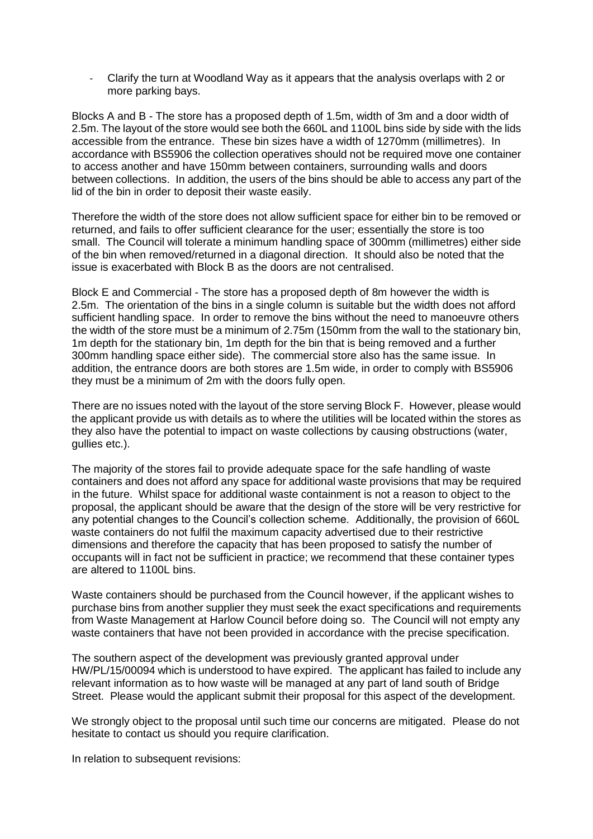- Clarify the turn at Woodland Way as it appears that the analysis overlaps with 2 or more parking bays.

Blocks A and B - The store has a proposed depth of 1.5m, width of 3m and a door width of 2.5m. The layout of the store would see both the 660L and 1100L bins side by side with the lids accessible from the entrance. These bin sizes have a width of 1270mm (millimetres). In accordance with BS5906 the collection operatives should not be required move one container to access another and have 150mm between containers, surrounding walls and doors between collections. In addition, the users of the bins should be able to access any part of the lid of the bin in order to deposit their waste easily.

Therefore the width of the store does not allow sufficient space for either bin to be removed or returned, and fails to offer sufficient clearance for the user; essentially the store is too small. The Council will tolerate a minimum handling space of 300mm (millimetres) either side of the bin when removed/returned in a diagonal direction. It should also be noted that the issue is exacerbated with Block B as the doors are not centralised.

Block E and Commercial - The store has a proposed depth of 8m however the width is 2.5m. The orientation of the bins in a single column is suitable but the width does not afford sufficient handling space. In order to remove the bins without the need to manoeuvre others the width of the store must be a minimum of 2.75m (150mm from the wall to the stationary bin, 1m depth for the stationary bin, 1m depth for the bin that is being removed and a further 300mm handling space either side). The commercial store also has the same issue. In addition, the entrance doors are both stores are 1.5m wide, in order to comply with BS5906 they must be a minimum of 2m with the doors fully open.

There are no issues noted with the layout of the store serving Block F. However, please would the applicant provide us with details as to where the utilities will be located within the stores as they also have the potential to impact on waste collections by causing obstructions (water, gullies etc.).

The majority of the stores fail to provide adequate space for the safe handling of waste containers and does not afford any space for additional waste provisions that may be required in the future. Whilst space for additional waste containment is not a reason to object to the proposal, the applicant should be aware that the design of the store will be very restrictive for any potential changes to the Council's collection scheme. Additionally, the provision of 660L waste containers do not fulfil the maximum capacity advertised due to their restrictive dimensions and therefore the capacity that has been proposed to satisfy the number of occupants will in fact not be sufficient in practice; we recommend that these container types are altered to 1100L bins.

Waste containers should be purchased from the Council however, if the applicant wishes to purchase bins from another supplier they must seek the exact specifications and requirements from Waste Management at Harlow Council before doing so. The Council will not empty any waste containers that have not been provided in accordance with the precise specification.

The southern aspect of the development was previously granted approval under HW/PL/15/00094 which is understood to have expired. The applicant has failed to include any relevant information as to how waste will be managed at any part of land south of Bridge Street. Please would the applicant submit their proposal for this aspect of the development.

We strongly object to the proposal until such time our concerns are mitigated. Please do not hesitate to contact us should you require clarification.

In relation to subsequent revisions: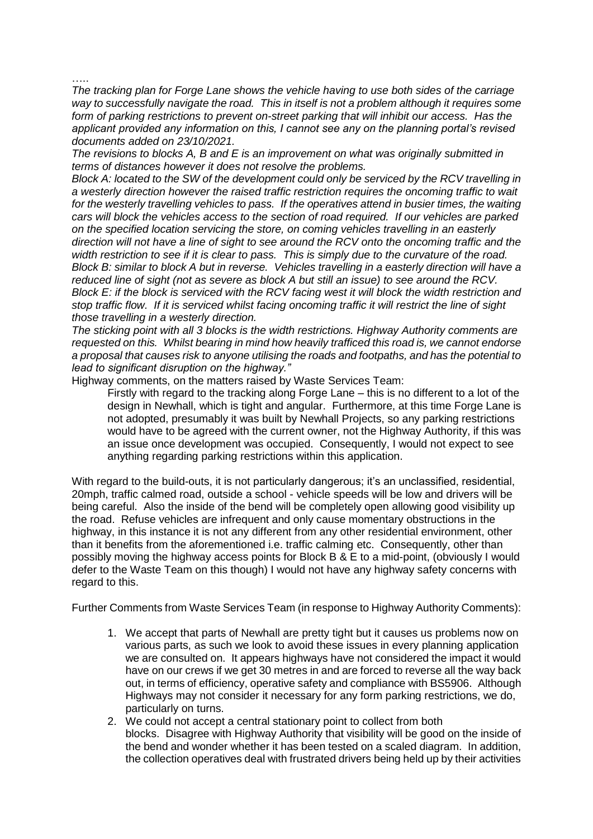…..

*The tracking plan for Forge Lane shows the vehicle having to use both sides of the carriage way to successfully navigate the road. This in itself is not a problem although it requires some form of parking restrictions to prevent on-street parking that will inhibit our access. Has the applicant provided any information on this, I cannot see any on the planning portal's revised documents added on 23/10/2021.*

*The revisions to blocks A, B and E is an improvement on what was originally submitted in terms of distances however it does not resolve the problems.*

*Block A: located to the SW of the development could only be serviced by the RCV travelling in a westerly direction however the raised traffic restriction requires the oncoming traffic to wait for the westerly travelling vehicles to pass. If the operatives attend in busier times, the waiting cars will block the vehicles access to the section of road required. If our vehicles are parked on the specified location servicing the store, on coming vehicles travelling in an easterly direction will not have a line of sight to see around the RCV onto the oncoming traffic and the width restriction to see if it is clear to pass. This is simply due to the curvature of the road. Block B: similar to block A but in reverse. Vehicles travelling in a easterly direction will have a reduced line of sight (not as severe as block A but still an issue) to see around the RCV. Block E: if the block is serviced with the RCV facing west it will block the width restriction and stop traffic flow. If it is serviced whilst facing oncoming traffic it will restrict the line of sight those travelling in a westerly direction.*

*The sticking point with all 3 blocks is the width restrictions. Highway Authority comments are requested on this. Whilst bearing in mind how heavily trafficed this road is, we cannot endorse a proposal that causes risk to anyone utilising the roads and footpaths, and has the potential to lead to significant disruption on the highway."*

Highway comments, on the matters raised by Waste Services Team:

Firstly with regard to the tracking along Forge Lane – this is no different to a lot of the design in Newhall, which is tight and angular. Furthermore, at this time Forge Lane is not adopted, presumably it was built by Newhall Projects, so any parking restrictions would have to be agreed with the current owner, not the Highway Authority, if this was an issue once development was occupied. Consequently, I would not expect to see anything regarding parking restrictions within this application.

With regard to the build-outs, it is not particularly dangerous; it's an unclassified, residential, 20mph, traffic calmed road, outside a school - vehicle speeds will be low and drivers will be being careful. Also the inside of the bend will be completely open allowing good visibility up the road. Refuse vehicles are infrequent and only cause momentary obstructions in the highway, in this instance it is not any different from any other residential environment, other than it benefits from the aforementioned i.e. traffic calming etc. Consequently, other than possibly moving the highway access points for Block B & E to a mid-point, (obviously I would defer to the Waste Team on this though) I would not have any highway safety concerns with regard to this.

Further Comments from Waste Services Team (in response to Highway Authority Comments):

- 1. We accept that parts of Newhall are pretty tight but it causes us problems now on various parts, as such we look to avoid these issues in every planning application we are consulted on. It appears highways have not considered the impact it would have on our crews if we get 30 metres in and are forced to reverse all the way back out, in terms of efficiency, operative safety and compliance with BS5906. Although Highways may not consider it necessary for any form parking restrictions, we do, particularly on turns.
- 2. We could not accept a central stationary point to collect from both blocks. Disagree with Highway Authority that visibility will be good on the inside of the bend and wonder whether it has been tested on a scaled diagram. In addition, the collection operatives deal with frustrated drivers being held up by their activities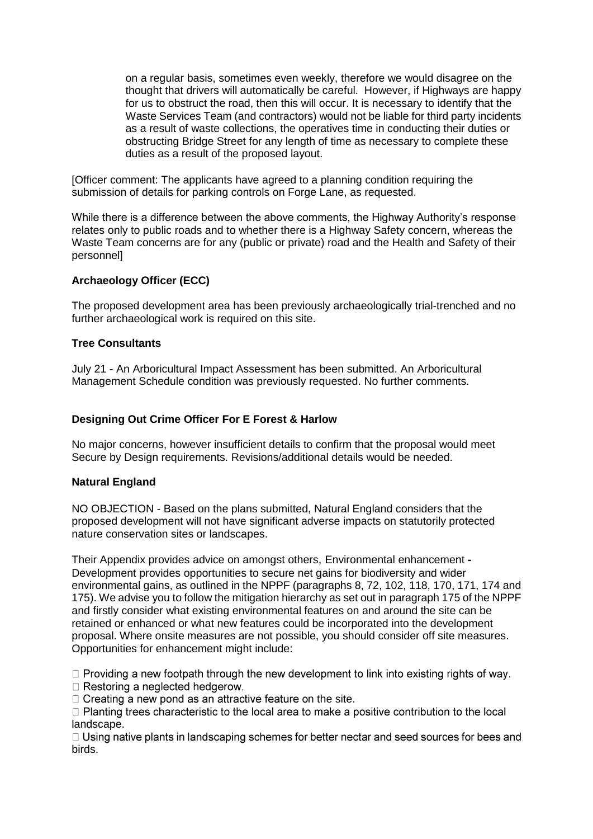on a regular basis, sometimes even weekly, therefore we would disagree on the thought that drivers will automatically be careful. However, if Highways are happy for us to obstruct the road, then this will occur. It is necessary to identify that the Waste Services Team (and contractors) would not be liable for third party incidents as a result of waste collections, the operatives time in conducting their duties or obstructing Bridge Street for any length of time as necessary to complete these duties as a result of the proposed layout.

[Officer comment: The applicants have agreed to a planning condition requiring the submission of details for parking controls on Forge Lane, as requested.

While there is a difference between the above comments, the Highway Authority's response relates only to public roads and to whether there is a Highway Safety concern, whereas the Waste Team concerns are for any (public or private) road and the Health and Safety of their personnel]

## **Archaeology Officer (ECC)**

The proposed development area has been previously archaeologically trial-trenched and no further archaeological work is required on this site.

#### **Tree Consultants**

July 21 - An Arboricultural Impact Assessment has been submitted. An Arboricultural Management Schedule condition was previously requested. No further comments.

#### **Designing Out Crime Officer For E Forest & Harlow**

No major concerns, however insufficient details to confirm that the proposal would meet Secure by Design requirements. Revisions/additional details would be needed.

#### **Natural England**

NO OBJECTION - Based on the plans submitted, Natural England considers that the proposed development will not have significant adverse impacts on statutorily protected nature conservation sites or landscapes.

Their Appendix provides advice on amongst others, Environmental enhancement **-** Development provides opportunities to secure net gains for biodiversity and wider environmental gains, as outlined in the NPPF (paragraphs 8, 72, 102, 118, 170, 171, 174 and 175). We advise you to follow the mitigation hierarchy as set out in paragraph 175 of the NPPF and firstly consider what existing environmental features on and around the site can be retained or enhanced or what new features could be incorporated into the development proposal. Where onsite measures are not possible, you should consider off site measures. Opportunities for enhancement might include:

 $\Box$  Providing a new footpath through the new development to link into existing rights of way.

 $\Box$  Restoring a neglected hedgerow.

 $\Box$  Creating a new pond as an attractive feature on the site.

 $\Box$  Planting trees characteristic to the local area to make a positive contribution to the local landscape.

 $\Box$  Using native plants in landscaping schemes for better nectar and seed sources for bees and birds.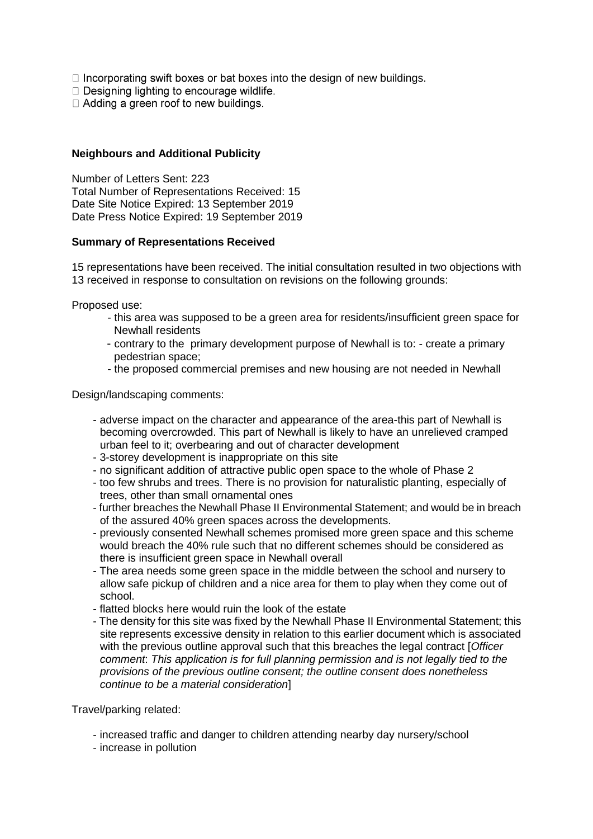$\Box$  Incorporating swift boxes or bat boxes into the design of new buildings.

□ Designing lighting to encourage wildlife.

□ Adding a green roof to new buildings.

#### **Neighbours and Additional Publicity**

Number of Letters Sent: 223 Total Number of Representations Received: 15 Date Site Notice Expired: 13 September 2019 Date Press Notice Expired: 19 September 2019

#### **Summary of Representations Received**

15 representations have been received. The initial consultation resulted in two objections with 13 received in response to consultation on revisions on the following grounds:

Proposed use:

- this area was supposed to be a green area for residents/insufficient green space for Newhall residents
- contrary to the primary development purpose of Newhall is to: create a primary pedestrian space;
- the proposed commercial premises and new housing are not needed in Newhall

Design/landscaping comments:

- adverse impact on the character and appearance of the area-this part of Newhall is becoming overcrowded. This part of Newhall is likely to have an unrelieved cramped urban feel to it; overbearing and out of character development
- 3-storey development is inappropriate on this site
- no significant addition of attractive public open space to the whole of Phase 2
- too few shrubs and trees. There is no provision for naturalistic planting, especially of trees, other than small ornamental ones
- further breaches the Newhall Phase II Environmental Statement; and would be in breach of the assured 40% green spaces across the developments.
- previously consented Newhall schemes promised more green space and this scheme would breach the 40% rule such that no different schemes should be considered as there is insufficient green space in Newhall overall
- The area needs some green space in the middle between the school and nursery to allow safe pickup of children and a nice area for them to play when they come out of school.
- flatted blocks here would ruin the look of the estate
- The density for this site was fixed by the Newhall Phase II Environmental Statement; this site represents excessive density in relation to this earlier document which is associated with the previous outline approval such that this breaches the legal contract [*Officer comment*: *This application is for full planning permission and is not legally tied to the provisions of the previous outline consent; the outline consent does nonetheless continue to be a material consideration*]

Travel/parking related:

- increased traffic and danger to children attending nearby day nursery/school
- increase in pollution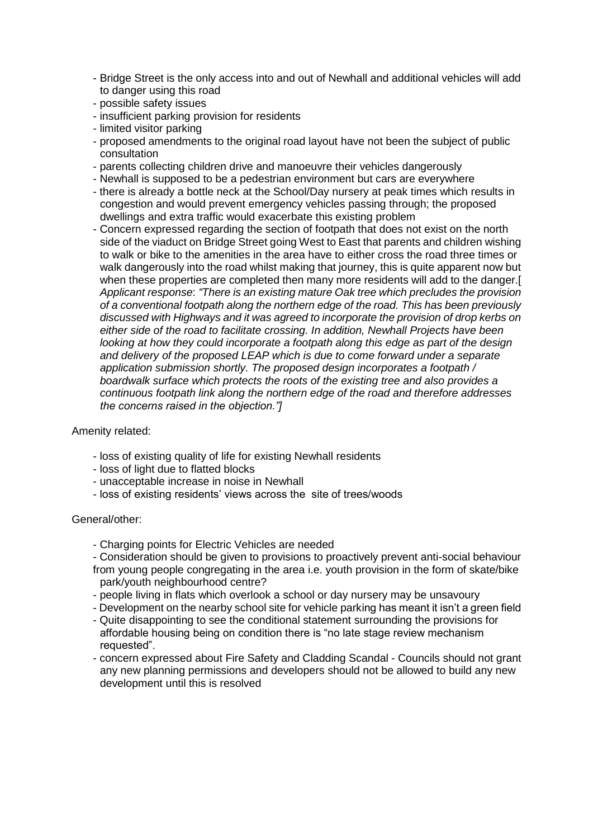- Bridge Street is the only access into and out of Newhall and additional vehicles will add to danger using this road
- possible safety issues
- insufficient parking provision for residents
- limited visitor parking
- proposed amendments to the original road layout have not been the subject of public consultation
- parents collecting children drive and manoeuvre their vehicles dangerously
- Newhall is supposed to be a pedestrian environment but cars are everywhere
- there is already a bottle neck at the School/Day nursery at peak times which results in congestion and would prevent emergency vehicles passing through; the proposed dwellings and extra traffic would exacerbate this existing problem
- Concern expressed regarding the section of footpath that does not exist on the north side of the viaduct on Bridge Street going West to East that parents and children wishing to walk or bike to the amenities in the area have to either cross the road three times or walk dangerously into the road whilst making that journey, this is quite apparent now but when these properties are completed then many more residents will add to the danger.[ *Applicant response*: *"There is an existing mature Oak tree which precludes the provision of a conventional footpath along the northern edge of the road. This has been previously discussed with Highways and it was agreed to incorporate the provision of drop kerbs on either side of the road to facilitate crossing. In addition, Newhall Projects have been looking at how they could incorporate a footpath along this edge as part of the design and delivery of the proposed LEAP which is due to come forward under a separate application submission shortly. The proposed design incorporates a footpath / boardwalk surface which protects the roots of the existing tree and also provides a continuous footpath link along the northern edge of the road and therefore addresses the concerns raised in the objection."]*

## Amenity related:

- loss of existing quality of life for existing Newhall residents
- loss of light due to flatted blocks
- unacceptable increase in noise in Newhall
- loss of existing residents' views across the site of trees/woods

#### General/other:

- Charging points for Electric Vehicles are needed
- Consideration should be given to provisions to proactively prevent anti-social behaviour from young people congregating in the area i.e. youth provision in the form of skate/bike
- park/youth neighbourhood centre?
- people living in flats which overlook a school or day nursery may be unsavoury
- Development on the nearby school site for vehicle parking has meant it isn't a green field
- Quite disappointing to see the conditional statement surrounding the provisions for affordable housing being on condition there is "no late stage review mechanism requested".
- concern expressed about Fire Safety and Cladding Scandal Councils should not grant any new planning permissions and developers should not be allowed to build any new development until this is resolved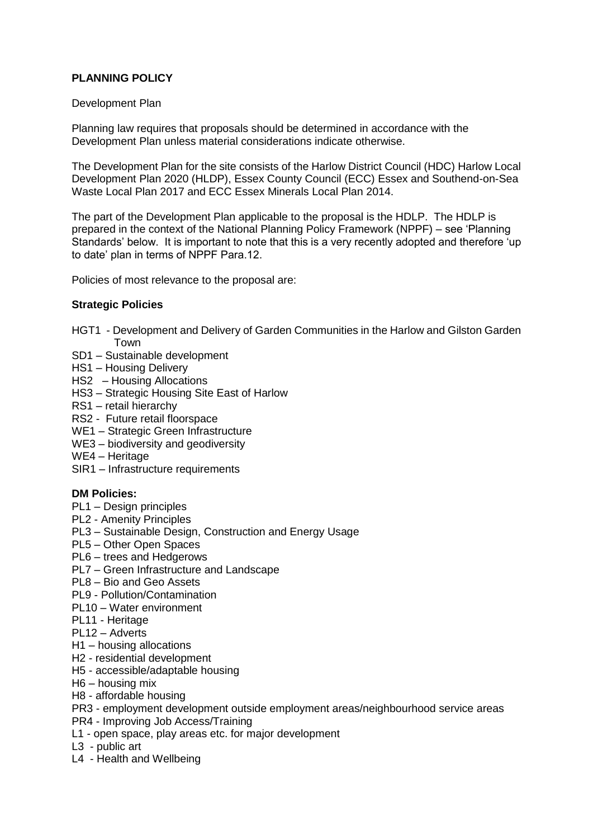# **PLANNING POLICY**

## Development Plan

Planning law requires that proposals should be determined in accordance with the Development Plan unless material considerations indicate otherwise.

The Development Plan for the site consists of the Harlow District Council (HDC) Harlow Local Development Plan 2020 (HLDP), Essex County Council (ECC) Essex and Southend-on-Sea Waste Local Plan 2017 and ECC Essex Minerals Local Plan 2014.

The part of the Development Plan applicable to the proposal is the HDLP. The HDLP is prepared in the context of the National Planning Policy Framework (NPPF) – see 'Planning Standards' below. It is important to note that this is a very recently adopted and therefore 'up to date' plan in terms of NPPF Para.12.

Policies of most relevance to the proposal are:

## **Strategic Policies**

- HGT1 Development and Delivery of Garden Communities in the Harlow and Gilston Garden Town
- SD1 Sustainable development
- HS1 Housing Delivery
- HS2 Housing Allocations
- HS3 Strategic Housing Site East of Harlow
- RS1 retail hierarchy
- RS2 Future retail floorspace
- WE1 Strategic Green Infrastructure
- WE3 biodiversity and geodiversity
- WE4 Heritage
- SIR1 Infrastructure requirements

## **DM Policies:**

- PL1 Design principles
- PL2 Amenity Principles
- PL3 Sustainable Design, Construction and Energy Usage
- PL5 Other Open Spaces
- PL6 trees and Hedgerows
- PL7 Green Infrastructure and Landscape
- PL8 Bio and Geo Assets
- PL9 Pollution/Contamination
- PL10 Water environment
- PL11 Heritage
- PL12 Adverts
- H1 housing allocations
- H2 residential development
- H5 accessible/adaptable housing
- H6 housing mix
- H8 affordable housing
- PR3 employment development outside employment areas/neighbourhood service areas
- PR4 Improving Job Access/Training
- L1 open space, play areas etc. for major development
- L3 public art
- L4 Health and Wellbeing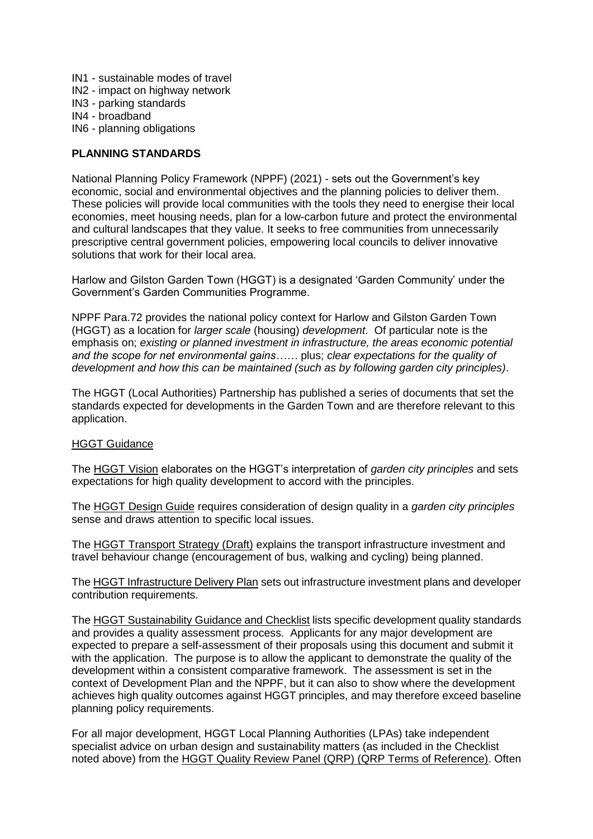- IN1 sustainable modes of travel
- IN2 impact on highway network
- IN3 parking standards
- IN4 broadband
- IN6 planning obligations

## **PLANNING STANDARDS**

National Planning Policy Framework (NPPF) (2021) - sets out the Government's key economic, social and environmental objectives and the planning policies to deliver them. These policies will provide local communities with the tools they need to energise their local economies, meet housing needs, plan for a low-carbon future and protect the environmental and cultural landscapes that they value. It seeks to free communities from unnecessarily prescriptive central government policies, empowering local councils to deliver innovative solutions that work for their local area.

Harlow and Gilston Garden Town (HGGT) is a designated 'Garden Community' under the Government's Garden Communities Programme.

NPPF Para.72 provides the national policy context for Harlow and Gilston Garden Town (HGGT) as a location for *larger scale* (housing) *development*. Of particular note is the emphasis on; *existing or planned investment in infrastructure, the areas economic potential and the scope for net environmental gains……* plus; *clear expectations for the quality of development and how this can be maintained (such as by following garden city principles)*.

The HGGT (Local Authorities) Partnership has published a series of documents that set the standards expected for developments in the Garden Town and are therefore relevant to this application.

## HGGT Guidance

The HGGT Vision elaborates on the HGGT's interpretation of *garden city principles* and sets expectations for high quality development to accord with the principles.

The HGGT Design Guide requires consideration of design quality in a *garden city principles* sense and draws attention to specific local issues.

The HGGT Transport Strategy (Draft) explains the transport infrastructure investment and travel behaviour change (encouragement of bus, walking and cycling) being planned.

The HGGT Infrastructure Delivery Plan sets out infrastructure investment plans and developer contribution requirements.

The HGGT Sustainability Guidance and Checklist lists specific development quality standards and provides a quality assessment process. Applicants for any major development are expected to prepare a self-assessment of their proposals using this document and submit it with the application. The purpose is to allow the applicant to demonstrate the quality of the development within a consistent comparative framework. The assessment is set in the context of Development Plan and the NPPF, but it can also to show where the development achieves high quality outcomes against HGGT principles, and may therefore exceed baseline planning policy requirements.

For all major development, HGGT Local Planning Authorities (LPAs) take independent specialist advice on urban design and sustainability matters (as included in the Checklist noted above) from the HGGT Quality Review Panel (QRP) (QRP Terms of Reference). Often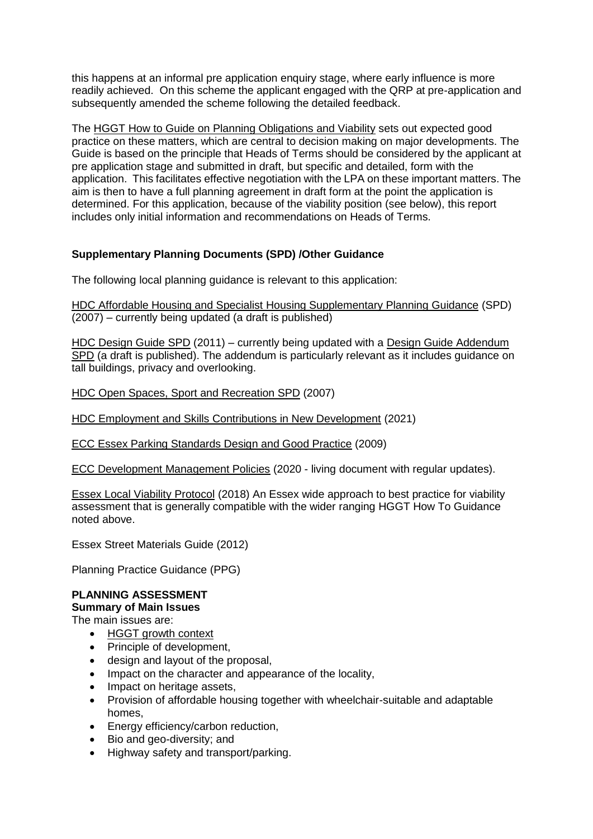this happens at an informal pre application enquiry stage, where early influence is more readily achieved. On this scheme the applicant engaged with the QRP at pre-application and subsequently amended the scheme following the detailed feedback.

The HGGT How to Guide on Planning Obligations and Viability sets out expected good practice on these matters, which are central to decision making on major developments. The Guide is based on the principle that Heads of Terms should be considered by the applicant at pre application stage and submitted in draft, but specific and detailed, form with the application. This facilitates effective negotiation with the LPA on these important matters. The aim is then to have a full planning agreement in draft form at the point the application is determined. For this application, because of the viability position (see below), this report includes only initial information and recommendations on Heads of Terms.

# **Supplementary Planning Documents (SPD) /Other Guidance**

The following local planning guidance is relevant to this application:

HDC Affordable Housing and Specialist Housing Supplementary Planning Guidance (SPD) (2007) – currently being updated (a draft is published)

HDC Design Guide SPD (2011) – currently being updated with a Design Guide Addendum SPD (a draft is published). The addendum is particularly relevant as it includes guidance on tall buildings, privacy and overlooking.

HDC Open Spaces, Sport and Recreation SPD (2007)

HDC Employment and Skills Contributions in New Development (2021)

ECC Essex Parking Standards Design and Good Practice (2009)

ECC Development Management Policies (2020 - living document with regular updates).

Essex Local Viability Protocol (2018) An Essex wide approach to best practice for viability assessment that is generally compatible with the wider ranging HGGT How To Guidance noted above.

Essex Street Materials Guide (2012)

Planning Practice Guidance (PPG)

# **PLANNING ASSESSMENT**

**Summary of Main Issues**

The main issues are:

- HGGT growth context
- Principle of development,
- design and layout of the proposal,
- Impact on the character and appearance of the locality,
- Impact on heritage assets.
- Provision of affordable housing together with wheelchair-suitable and adaptable homes,
- Energy efficiency/carbon reduction,
- Bio and geo-diversity; and
- Highway safety and transport/parking.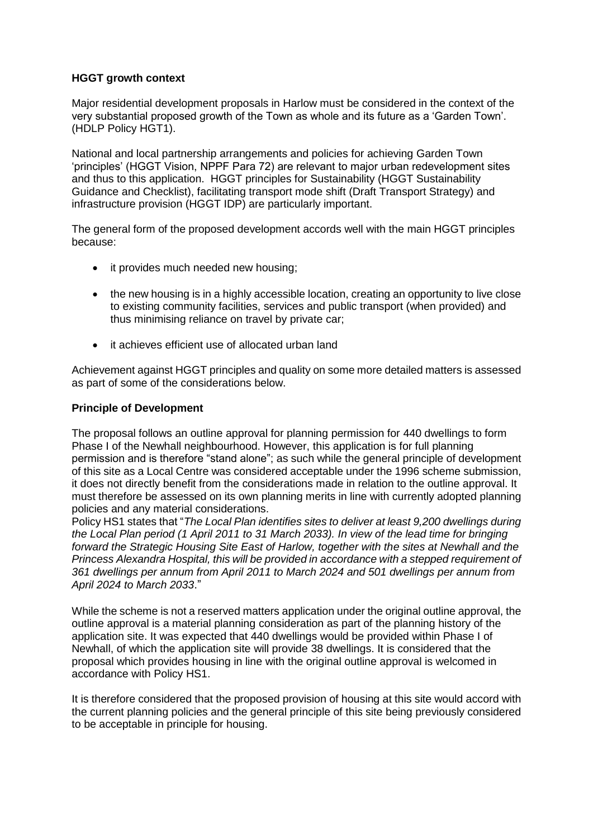# **HGGT growth context**

Major residential development proposals in Harlow must be considered in the context of the very substantial proposed growth of the Town as whole and its future as a 'Garden Town'. (HDLP Policy HGT1).

National and local partnership arrangements and policies for achieving Garden Town 'principles' (HGGT Vision, NPPF Para 72) are relevant to major urban redevelopment sites and thus to this application. HGGT principles for Sustainability (HGGT Sustainability Guidance and Checklist), facilitating transport mode shift (Draft Transport Strategy) and infrastructure provision (HGGT IDP) are particularly important.

The general form of the proposed development accords well with the main HGGT principles because:

- it provides much needed new housing;
- the new housing is in a highly accessible location, creating an opportunity to live close to existing community facilities, services and public transport (when provided) and thus minimising reliance on travel by private car;
- it achieves efficient use of allocated urban land

Achievement against HGGT principles and quality on some more detailed matters is assessed as part of some of the considerations below.

## **Principle of Development**

The proposal follows an outline approval for planning permission for 440 dwellings to form Phase I of the Newhall neighbourhood. However, this application is for full planning permission and is therefore "stand alone"; as such while the general principle of development of this site as a Local Centre was considered acceptable under the 1996 scheme submission, it does not directly benefit from the considerations made in relation to the outline approval. It must therefore be assessed on its own planning merits in line with currently adopted planning policies and any material considerations.

Policy HS1 states that "*The Local Plan identifies sites to deliver at least 9,200 dwellings during the Local Plan period (1 April 2011 to 31 March 2033). In view of the lead time for bringing forward the Strategic Housing Site East of Harlow, together with the sites at Newhall and the Princess Alexandra Hospital, this will be provided in accordance with a stepped requirement of 361 dwellings per annum from April 2011 to March 2024 and 501 dwellings per annum from April 2024 to March 2033*."

While the scheme is not a reserved matters application under the original outline approval, the outline approval is a material planning consideration as part of the planning history of the application site. It was expected that 440 dwellings would be provided within Phase I of Newhall, of which the application site will provide 38 dwellings. It is considered that the proposal which provides housing in line with the original outline approval is welcomed in accordance with Policy HS1.

It is therefore considered that the proposed provision of housing at this site would accord with the current planning policies and the general principle of this site being previously considered to be acceptable in principle for housing.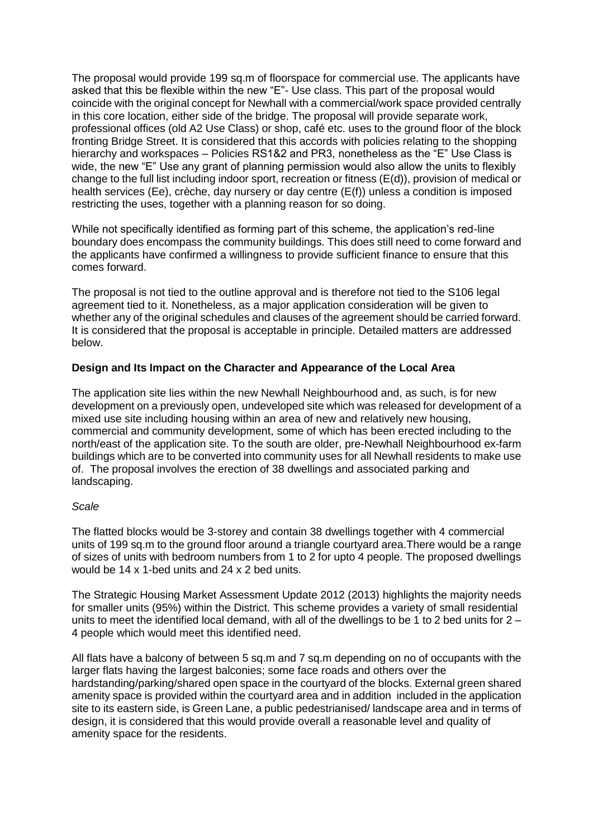The proposal would provide 199 sq.m of floorspace for commercial use. The applicants have asked that this be flexible within the new "E"- Use class. This part of the proposal would coincide with the original concept for Newhall with a commercial/work space provided centrally in this core location, either side of the bridge. The proposal will provide separate work, professional offices (old A2 Use Class) or shop, café etc. uses to the ground floor of the block fronting Bridge Street. It is considered that this accords with policies relating to the shopping hierarchy and workspaces – Policies RS1&2 and PR3, nonetheless as the "E" Use Class is wide, the new "E" Use any grant of planning permission would also allow the units to flexibly change to the full list including indoor sport, recreation or fitness (E(d)), provision of medical or health services (Ee), crèche, day nursery or day centre (E(f)) unless a condition is imposed restricting the uses, together with a planning reason for so doing.

While not specifically identified as forming part of this scheme, the application's red-line boundary does encompass the community buildings. This does still need to come forward and the applicants have confirmed a willingness to provide sufficient finance to ensure that this comes forward.

The proposal is not tied to the outline approval and is therefore not tied to the S106 legal agreement tied to it. Nonetheless, as a major application consideration will be given to whether any of the original schedules and clauses of the agreement should be carried forward. It is considered that the proposal is acceptable in principle. Detailed matters are addressed below.

# **Design and Its Impact on the Character and Appearance of the Local Area**

The application site lies within the new Newhall Neighbourhood and, as such, is for new development on a previously open, undeveloped site which was released for development of a mixed use site including housing within an area of new and relatively new housing, commercial and community development, some of which has been erected including to the north/east of the application site. To the south are older, pre-Newhall Neighbourhood ex-farm buildings which are to be converted into community uses for all Newhall residents to make use of. The proposal involves the erection of 38 dwellings and associated parking and landscaping.

## *Scale*

The flatted blocks would be 3-storey and contain 38 dwellings together with 4 commercial units of 199 sq.m to the ground floor around a triangle courtyard area.There would be a range of sizes of units with bedroom numbers from 1 to 2 for upto 4 people. The proposed dwellings would be 14 x 1-bed units and 24 x 2 bed units.

The Strategic Housing Market Assessment Update 2012 (2013) highlights the majority needs for smaller units (95%) within the District. This scheme provides a variety of small residential units to meet the identified local demand, with all of the dwellings to be 1 to 2 bed units for  $2 -$ 4 people which would meet this identified need.

All flats have a balcony of between 5 sq.m and 7 sq.m depending on no of occupants with the larger flats having the largest balconies; some face roads and others over the hardstanding/parking/shared open space in the courtyard of the blocks. External green shared amenity space is provided within the courtyard area and in addition included in the application site to its eastern side, is Green Lane, a public pedestrianised/ landscape area and in terms of design, it is considered that this would provide overall a reasonable level and quality of amenity space for the residents.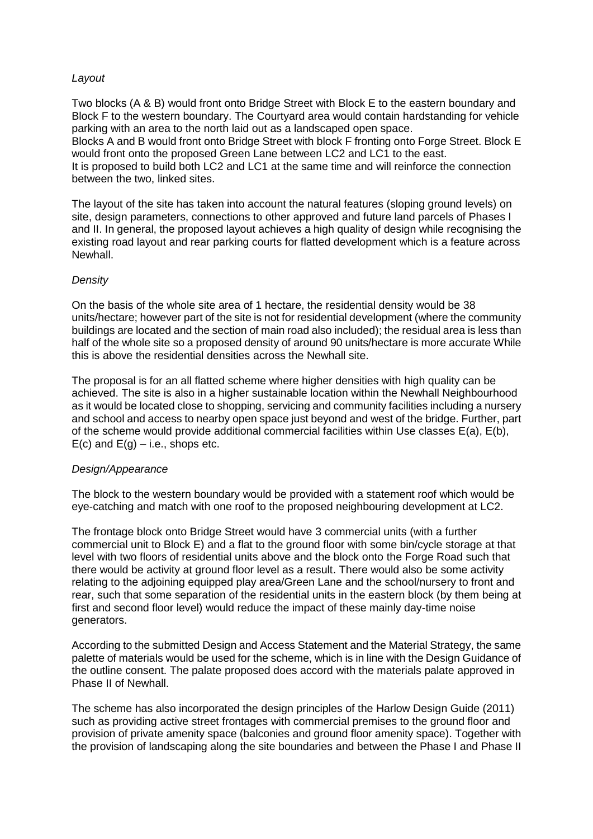## *Layout*

Two blocks (A & B) would front onto Bridge Street with Block E to the eastern boundary and Block F to the western boundary. The Courtyard area would contain hardstanding for vehicle parking with an area to the north laid out as a landscaped open space. Blocks A and B would front onto Bridge Street with block F fronting onto Forge Street. Block E would front onto the proposed Green Lane between LC2 and LC1 to the east.

It is proposed to build both LC2 and LC1 at the same time and will reinforce the connection between the two, linked sites.

The layout of the site has taken into account the natural features (sloping ground levels) on site, design parameters, connections to other approved and future land parcels of Phases I and II. In general, the proposed layout achieves a high quality of design while recognising the existing road layout and rear parking courts for flatted development which is a feature across Newhall.

#### *Density*

On the basis of the whole site area of 1 hectare, the residential density would be 38 units/hectare; however part of the site is not for residential development (where the community buildings are located and the section of main road also included); the residual area is less than half of the whole site so a proposed density of around 90 units/hectare is more accurate While this is above the residential densities across the Newhall site.

The proposal is for an all flatted scheme where higher densities with high quality can be achieved. The site is also in a higher sustainable location within the Newhall Neighbourhood as it would be located close to shopping, servicing and community facilities including a nursery and school and access to nearby open space just beyond and west of the bridge. Further, part of the scheme would provide additional commercial facilities within Use classes  $E(a)$ ,  $E(b)$ ,  $E(c)$  and  $E(q) - i.e.,$  shops etc.

## *Design/Appearance*

The block to the western boundary would be provided with a statement roof which would be eye-catching and match with one roof to the proposed neighbouring development at LC2.

The frontage block onto Bridge Street would have 3 commercial units (with a further commercial unit to Block E) and a flat to the ground floor with some bin/cycle storage at that level with two floors of residential units above and the block onto the Forge Road such that there would be activity at ground floor level as a result. There would also be some activity relating to the adjoining equipped play area/Green Lane and the school/nursery to front and rear, such that some separation of the residential units in the eastern block (by them being at first and second floor level) would reduce the impact of these mainly day-time noise generators.

According to the submitted Design and Access Statement and the Material Strategy, the same palette of materials would be used for the scheme, which is in line with the Design Guidance of the outline consent. The palate proposed does accord with the materials palate approved in Phase II of Newhall.

The scheme has also incorporated the design principles of the Harlow Design Guide (2011) such as providing active street frontages with commercial premises to the ground floor and provision of private amenity space (balconies and ground floor amenity space). Together with the provision of landscaping along the site boundaries and between the Phase I and Phase II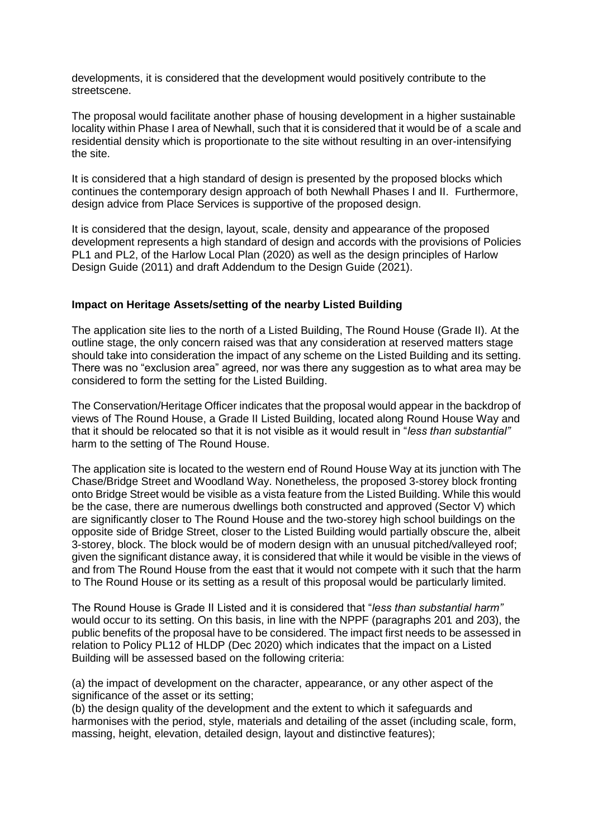developments, it is considered that the development would positively contribute to the streetscene.

The proposal would facilitate another phase of housing development in a higher sustainable locality within Phase I area of Newhall, such that it is considered that it would be of a scale and residential density which is proportionate to the site without resulting in an over-intensifying the site.

It is considered that a high standard of design is presented by the proposed blocks which continues the contemporary design approach of both Newhall Phases I and II. Furthermore, design advice from Place Services is supportive of the proposed design.

It is considered that the design, layout, scale, density and appearance of the proposed development represents a high standard of design and accords with the provisions of Policies PL1 and PL2, of the Harlow Local Plan (2020) as well as the design principles of Harlow Design Guide (2011) and draft Addendum to the Design Guide (2021).

#### **Impact on Heritage Assets/setting of the nearby Listed Building**

The application site lies to the north of a Listed Building, The Round House (Grade II). At the outline stage, the only concern raised was that any consideration at reserved matters stage should take into consideration the impact of any scheme on the Listed Building and its setting. There was no "exclusion area" agreed, nor was there any suggestion as to what area may be considered to form the setting for the Listed Building.

The Conservation/Heritage Officer indicates that the proposal would appear in the backdrop of views of The Round House, a Grade II Listed Building, located along Round House Way and that it should be relocated so that it is not visible as it would result in "*less than substantial"*  harm to the setting of The Round House.

The application site is located to the western end of Round House Way at its junction with The Chase/Bridge Street and Woodland Way. Nonetheless, the proposed 3-storey block fronting onto Bridge Street would be visible as a vista feature from the Listed Building. While this would be the case, there are numerous dwellings both constructed and approved (Sector V) which are significantly closer to The Round House and the two-storey high school buildings on the opposite side of Bridge Street, closer to the Listed Building would partially obscure the, albeit 3-storey, block. The block would be of modern design with an unusual pitched/valleyed roof; given the significant distance away, it is considered that while it would be visible in the views of and from The Round House from the east that it would not compete with it such that the harm to The Round House or its setting as a result of this proposal would be particularly limited.

The Round House is Grade II Listed and it is considered that "*less than substantial harm"* would occur to its setting. On this basis, in line with the NPPF (paragraphs 201 and 203), the public benefits of the proposal have to be considered. The impact first needs to be assessed in relation to Policy PL12 of HLDP (Dec 2020) which indicates that the impact on a Listed Building will be assessed based on the following criteria:

(a) the impact of development on the character, appearance, or any other aspect of the significance of the asset or its setting:

(b) the design quality of the development and the extent to which it safeguards and harmonises with the period, style, materials and detailing of the asset (including scale, form, massing, height, elevation, detailed design, layout and distinctive features);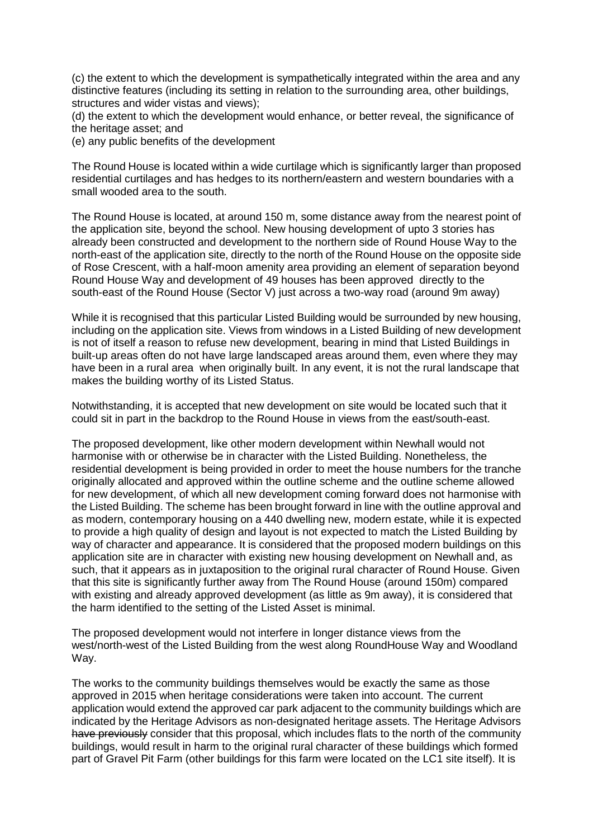(c) the extent to which the development is sympathetically integrated within the area and any distinctive features (including its setting in relation to the surrounding area, other buildings, structures and wider vistas and views);

(d) the extent to which the development would enhance, or better reveal, the significance of the heritage asset; and

(e) any public benefits of the development

The Round House is located within a wide curtilage which is significantly larger than proposed residential curtilages and has hedges to its northern/eastern and western boundaries with a small wooded area to the south.

The Round House is located, at around 150 m, some distance away from the nearest point of the application site, beyond the school. New housing development of upto 3 stories has already been constructed and development to the northern side of Round House Way to the north-east of the application site, directly to the north of the Round House on the opposite side of Rose Crescent, with a half-moon amenity area providing an element of separation beyond Round House Way and development of 49 houses has been approved directly to the south-east of the Round House (Sector V) just across a two-way road (around 9m away)

While it is recognised that this particular Listed Building would be surrounded by new housing. including on the application site. Views from windows in a Listed Building of new development is not of itself a reason to refuse new development, bearing in mind that Listed Buildings in built-up areas often do not have large landscaped areas around them, even where they may have been in a rural area when originally built. In any event, it is not the rural landscape that makes the building worthy of its Listed Status.

Notwithstanding, it is accepted that new development on site would be located such that it could sit in part in the backdrop to the Round House in views from the east/south-east.

The proposed development, like other modern development within Newhall would not harmonise with or otherwise be in character with the Listed Building. Nonetheless, the residential development is being provided in order to meet the house numbers for the tranche originally allocated and approved within the outline scheme and the outline scheme allowed for new development, of which all new development coming forward does not harmonise with the Listed Building. The scheme has been brought forward in line with the outline approval and as modern, contemporary housing on a 440 dwelling new, modern estate, while it is expected to provide a high quality of design and layout is not expected to match the Listed Building by way of character and appearance. It is considered that the proposed modern buildings on this application site are in character with existing new housing development on Newhall and, as such, that it appears as in juxtaposition to the original rural character of Round House. Given that this site is significantly further away from The Round House (around 150m) compared with existing and already approved development (as little as 9m away), it is considered that the harm identified to the setting of the Listed Asset is minimal.

The proposed development would not interfere in longer distance views from the west/north-west of the Listed Building from the west along RoundHouse Way and Woodland Way.

The works to the community buildings themselves would be exactly the same as those approved in 2015 when heritage considerations were taken into account. The current application would extend the approved car park adjacent to the community buildings which are indicated by the Heritage Advisors as non-designated heritage assets. The Heritage Advisors have previously consider that this proposal, which includes flats to the north of the community buildings, would result in harm to the original rural character of these buildings which formed part of Gravel Pit Farm (other buildings for this farm were located on the LC1 site itself). It is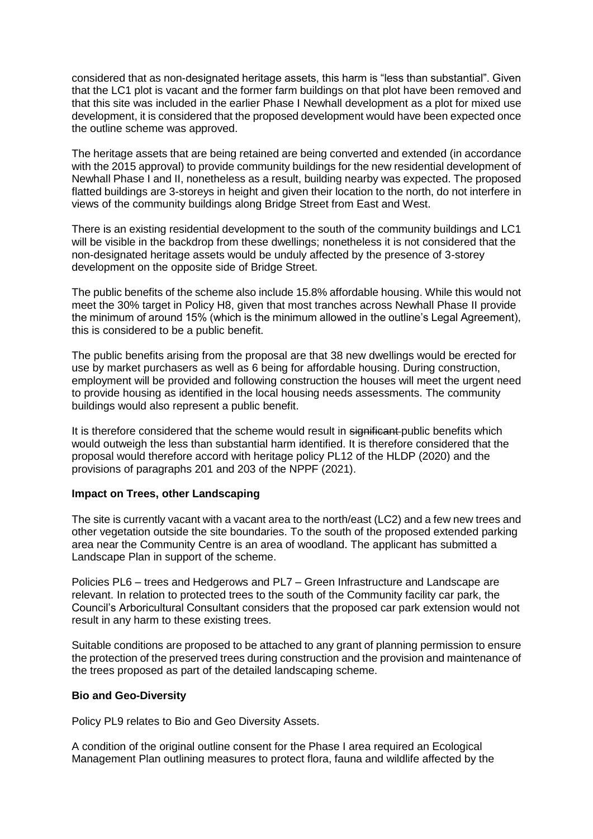considered that as non-designated heritage assets, this harm is "less than substantial". Given that the LC1 plot is vacant and the former farm buildings on that plot have been removed and that this site was included in the earlier Phase I Newhall development as a plot for mixed use development, it is considered that the proposed development would have been expected once the outline scheme was approved.

The heritage assets that are being retained are being converted and extended (in accordance with the 2015 approval) to provide community buildings for the new residential development of Newhall Phase I and II, nonetheless as a result, building nearby was expected. The proposed flatted buildings are 3-storeys in height and given their location to the north, do not interfere in views of the community buildings along Bridge Street from East and West.

There is an existing residential development to the south of the community buildings and LC1 will be visible in the backdrop from these dwellings; nonetheless it is not considered that the non-designated heritage assets would be unduly affected by the presence of 3-storey development on the opposite side of Bridge Street.

The public benefits of the scheme also include 15.8% affordable housing. While this would not meet the 30% target in Policy H8, given that most tranches across Newhall Phase II provide the minimum of around 15% (which is the minimum allowed in the outline's Legal Agreement), this is considered to be a public benefit.

The public benefits arising from the proposal are that 38 new dwellings would be erected for use by market purchasers as well as 6 being for affordable housing. During construction, employment will be provided and following construction the houses will meet the urgent need to provide housing as identified in the local housing needs assessments. The community buildings would also represent a public benefit.

It is therefore considered that the scheme would result in significant public benefits which would outweigh the less than substantial harm identified. It is therefore considered that the proposal would therefore accord with heritage policy PL12 of the HLDP (2020) and the provisions of paragraphs 201 and 203 of the NPPF (2021).

## **Impact on Trees, other Landscaping**

The site is currently vacant with a vacant area to the north/east (LC2) and a few new trees and other vegetation outside the site boundaries. To the south of the proposed extended parking area near the Community Centre is an area of woodland. The applicant has submitted a Landscape Plan in support of the scheme.

Policies PL6 – trees and Hedgerows and PL7 – Green Infrastructure and Landscape are relevant. In relation to protected trees to the south of the Community facility car park, the Council's Arboricultural Consultant considers that the proposed car park extension would not result in any harm to these existing trees.

Suitable conditions are proposed to be attached to any grant of planning permission to ensure the protection of the preserved trees during construction and the provision and maintenance of the trees proposed as part of the detailed landscaping scheme.

#### **Bio and Geo-Diversity**

Policy PL9 relates to Bio and Geo Diversity Assets.

A condition of the original outline consent for the Phase I area required an Ecological Management Plan outlining measures to protect flora, fauna and wildlife affected by the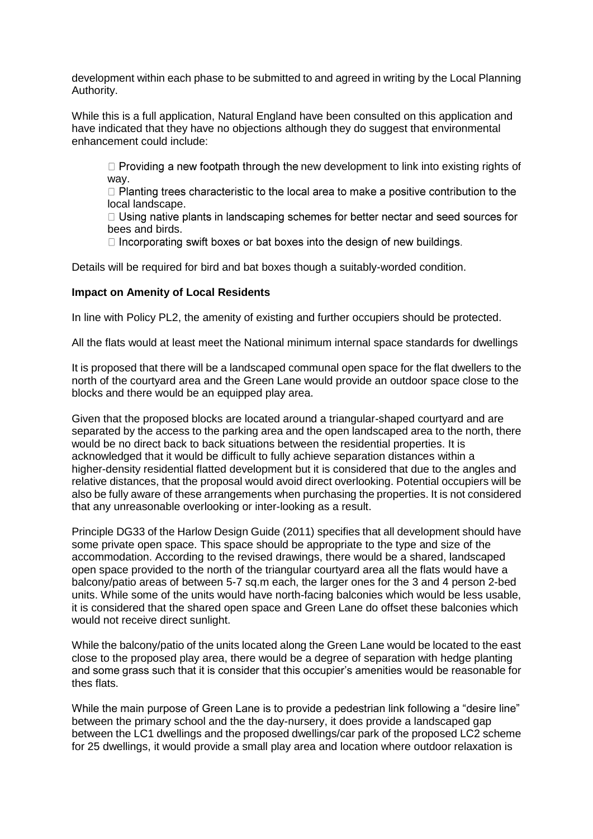development within each phase to be submitted to and agreed in writing by the Local Planning Authority.

While this is a full application, Natural England have been consulted on this application and have indicated that they have no objections although they do suggest that environmental enhancement could include:

 $\Box$  Providing a new footpath through the new development to link into existing rights of way.

 $\Box$  Planting trees characteristic to the local area to make a positive contribution to the local landscape.

 $\Box$  Using native plants in landscaping schemes for better nectar and seed sources for bees and birds.

□ Incorporating swift boxes or bat boxes into the design of new buildings.

Details will be required for bird and bat boxes though a suitably-worded condition.

#### **Impact on Amenity of Local Residents**

In line with Policy PL2, the amenity of existing and further occupiers should be protected.

All the flats would at least meet the National minimum internal space standards for dwellings

It is proposed that there will be a landscaped communal open space for the flat dwellers to the north of the courtyard area and the Green Lane would provide an outdoor space close to the blocks and there would be an equipped play area.

Given that the proposed blocks are located around a triangular-shaped courtyard and are separated by the access to the parking area and the open landscaped area to the north, there would be no direct back to back situations between the residential properties. It is acknowledged that it would be difficult to fully achieve separation distances within a higher-density residential flatted development but it is considered that due to the angles and relative distances, that the proposal would avoid direct overlooking. Potential occupiers will be also be fully aware of these arrangements when purchasing the properties. It is not considered that any unreasonable overlooking or inter-looking as a result.

Principle DG33 of the Harlow Design Guide (2011) specifies that all development should have some private open space. This space should be appropriate to the type and size of the accommodation. According to the revised drawings, there would be a shared, landscaped open space provided to the north of the triangular courtyard area all the flats would have a balcony/patio areas of between 5-7 sq.m each, the larger ones for the 3 and 4 person 2-bed units. While some of the units would have north-facing balconies which would be less usable, it is considered that the shared open space and Green Lane do offset these balconies which would not receive direct sunlight.

While the balcony/patio of the units located along the Green Lane would be located to the east close to the proposed play area, there would be a degree of separation with hedge planting and some grass such that it is consider that this occupier's amenities would be reasonable for thes flats.

While the main purpose of Green Lane is to provide a pedestrian link following a "desire line" between the primary school and the the day-nursery, it does provide a landscaped gap between the LC1 dwellings and the proposed dwellings/car park of the proposed LC2 scheme for 25 dwellings, it would provide a small play area and location where outdoor relaxation is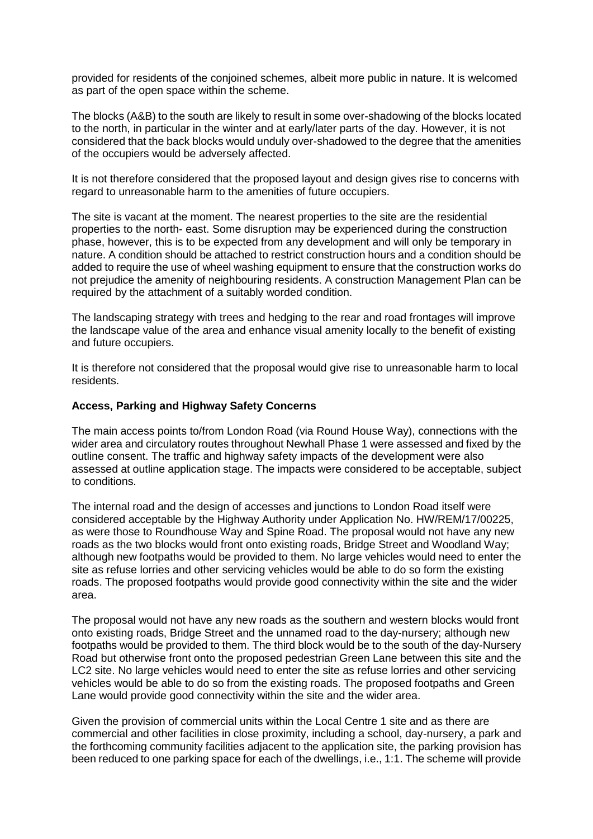provided for residents of the conjoined schemes, albeit more public in nature. It is welcomed as part of the open space within the scheme.

The blocks (A&B) to the south are likely to result in some over-shadowing of the blocks located to the north, in particular in the winter and at early/later parts of the day. However, it is not considered that the back blocks would unduly over-shadowed to the degree that the amenities of the occupiers would be adversely affected.

It is not therefore considered that the proposed layout and design gives rise to concerns with regard to unreasonable harm to the amenities of future occupiers.

The site is vacant at the moment. The nearest properties to the site are the residential properties to the north- east. Some disruption may be experienced during the construction phase, however, this is to be expected from any development and will only be temporary in nature. A condition should be attached to restrict construction hours and a condition should be added to require the use of wheel washing equipment to ensure that the construction works do not prejudice the amenity of neighbouring residents. A construction Management Plan can be required by the attachment of a suitably worded condition.

The landscaping strategy with trees and hedging to the rear and road frontages will improve the landscape value of the area and enhance visual amenity locally to the benefit of existing and future occupiers.

It is therefore not considered that the proposal would give rise to unreasonable harm to local residents.

#### **Access, Parking and Highway Safety Concerns**

The main access points to/from London Road (via Round House Way), connections with the wider area and circulatory routes throughout Newhall Phase 1 were assessed and fixed by the outline consent. The traffic and highway safety impacts of the development were also assessed at outline application stage. The impacts were considered to be acceptable, subject to conditions.

The internal road and the design of accesses and junctions to London Road itself were considered acceptable by the Highway Authority under Application No. HW/REM/17/00225, as were those to Roundhouse Way and Spine Road. The proposal would not have any new roads as the two blocks would front onto existing roads, Bridge Street and Woodland Way; although new footpaths would be provided to them. No large vehicles would need to enter the site as refuse lorries and other servicing vehicles would be able to do so form the existing roads. The proposed footpaths would provide good connectivity within the site and the wider area.

The proposal would not have any new roads as the southern and western blocks would front onto existing roads, Bridge Street and the unnamed road to the day-nursery; although new footpaths would be provided to them. The third block would be to the south of the day-Nursery Road but otherwise front onto the proposed pedestrian Green Lane between this site and the LC2 site. No large vehicles would need to enter the site as refuse lorries and other servicing vehicles would be able to do so from the existing roads. The proposed footpaths and Green Lane would provide good connectivity within the site and the wider area.

Given the provision of commercial units within the Local Centre 1 site and as there are commercial and other facilities in close proximity, including a school, day-nursery, a park and the forthcoming community facilities adjacent to the application site, the parking provision has been reduced to one parking space for each of the dwellings, i.e., 1:1. The scheme will provide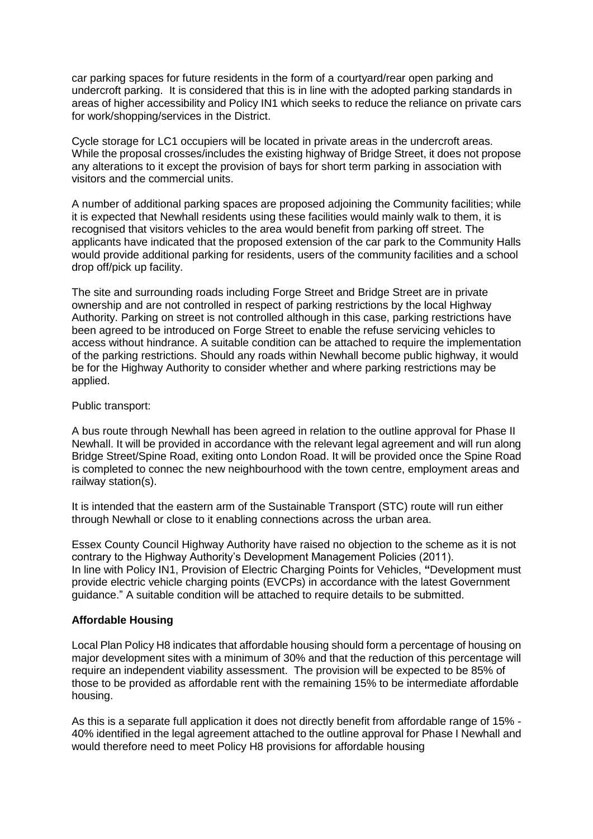car parking spaces for future residents in the form of a courtyard/rear open parking and undercroft parking. It is considered that this is in line with the adopted parking standards in areas of higher accessibility and Policy IN1 which seeks to reduce the reliance on private cars for work/shopping/services in the District.

Cycle storage for LC1 occupiers will be located in private areas in the undercroft areas. While the proposal crosses/includes the existing highway of Bridge Street, it does not propose any alterations to it except the provision of bays for short term parking in association with visitors and the commercial units.

A number of additional parking spaces are proposed adjoining the Community facilities; while it is expected that Newhall residents using these facilities would mainly walk to them, it is recognised that visitors vehicles to the area would benefit from parking off street. The applicants have indicated that the proposed extension of the car park to the Community Halls would provide additional parking for residents, users of the community facilities and a school drop off/pick up facility.

The site and surrounding roads including Forge Street and Bridge Street are in private ownership and are not controlled in respect of parking restrictions by the local Highway Authority. Parking on street is not controlled although in this case, parking restrictions have been agreed to be introduced on Forge Street to enable the refuse servicing vehicles to access without hindrance. A suitable condition can be attached to require the implementation of the parking restrictions. Should any roads within Newhall become public highway, it would be for the Highway Authority to consider whether and where parking restrictions may be applied.

## Public transport:

A bus route through Newhall has been agreed in relation to the outline approval for Phase II Newhall. It will be provided in accordance with the relevant legal agreement and will run along Bridge Street/Spine Road, exiting onto London Road. It will be provided once the Spine Road is completed to connec the new neighbourhood with the town centre, employment areas and railway station(s).

It is intended that the eastern arm of the Sustainable Transport (STC) route will run either through Newhall or close to it enabling connections across the urban area.

Essex County Council Highway Authority have raised no objection to the scheme as it is not contrary to the Highway Authority's Development Management Policies (2011). In line with Policy IN1, Provision of Electric Charging Points for Vehicles, **"**Development must provide electric vehicle charging points (EVCPs) in accordance with the latest Government guidance." A suitable condition will be attached to require details to be submitted.

## **Affordable Housing**

Local Plan Policy H8 indicates that affordable housing should form a percentage of housing on major development sites with a minimum of 30% and that the reduction of this percentage will require an independent viability assessment. The provision will be expected to be 85% of those to be provided as affordable rent with the remaining 15% to be intermediate affordable housing.

As this is a separate full application it does not directly benefit from affordable range of 15% - 40% identified in the legal agreement attached to the outline approval for Phase I Newhall and would therefore need to meet Policy H8 provisions for affordable housing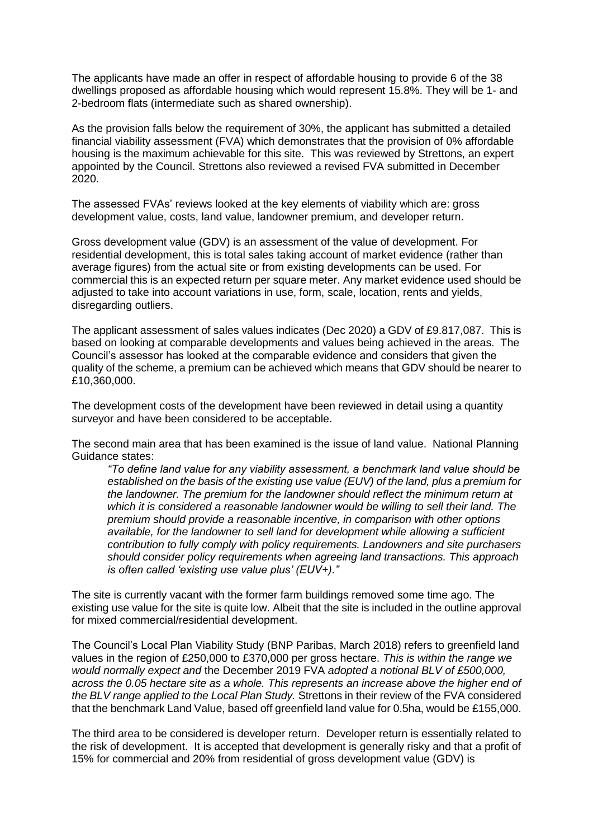The applicants have made an offer in respect of affordable housing to provide 6 of the 38 dwellings proposed as affordable housing which would represent 15.8%. They will be 1- and 2-bedroom flats (intermediate such as shared ownership).

As the provision falls below the requirement of 30%, the applicant has submitted a detailed financial viability assessment (FVA) which demonstrates that the provision of 0% affordable housing is the maximum achievable for this site. This was reviewed by Strettons, an expert appointed by the Council. Strettons also reviewed a revised FVA submitted in December 2020.

The assessed FVAs' reviews looked at the key elements of viability which are: gross development value, costs, land value, landowner premium, and developer return.

Gross development value (GDV) is an assessment of the value of development. For residential development, this is total sales taking account of market evidence (rather than average figures) from the actual site or from existing developments can be used. For commercial this is an expected return per square meter. Any market evidence used should be adjusted to take into account variations in use, form, scale, location, rents and yields, disregarding outliers.

The applicant assessment of sales values indicates (Dec 2020) a GDV of £9.817,087. This is based on looking at comparable developments and values being achieved in the areas. The Council's assessor has looked at the comparable evidence and considers that given the quality of the scheme, a premium can be achieved which means that GDV should be nearer to £10,360,000.

The development costs of the development have been reviewed in detail using a quantity surveyor and have been considered to be acceptable.

The second main area that has been examined is the issue of land value. National Planning Guidance states:

*"To define land value for any viability assessment, a benchmark land value should be established on the basis of the existing use value (EUV) of the land, plus a premium for the landowner. The premium for the landowner should reflect the minimum return at which it is considered a reasonable landowner would be willing to sell their land. The premium should provide a reasonable incentive, in comparison with other options available, for the landowner to sell land for development while allowing a sufficient contribution to fully comply with policy requirements. Landowners and site purchasers should consider policy requirements when agreeing land transactions. This approach is often called 'existing use value plus' (EUV+)."*

The site is currently vacant with the former farm buildings removed some time ago. The existing use value for the site is quite low. Albeit that the site is included in the outline approval for mixed commercial/residential development.

The Council's Local Plan Viability Study (BNP Paribas, March 2018) refers to greenfield land values in the region of £250,000 to £370,000 per gross hectare. *This is within the range we would normally expect and* the December 2019 FVA *adopted a notional BLV of £500,000, across the 0.05 hectare site as a whole. This represents an increase above the higher end of the BLV range applied to the Local Plan Study.* Strettons in their review of the FVA considered that the benchmark Land Value, based off greenfield land value for 0.5ha, would be £155,000.

The third area to be considered is developer return. Developer return is essentially related to the risk of development. It is accepted that development is generally risky and that a profit of 15% for commercial and 20% from residential of gross development value (GDV) is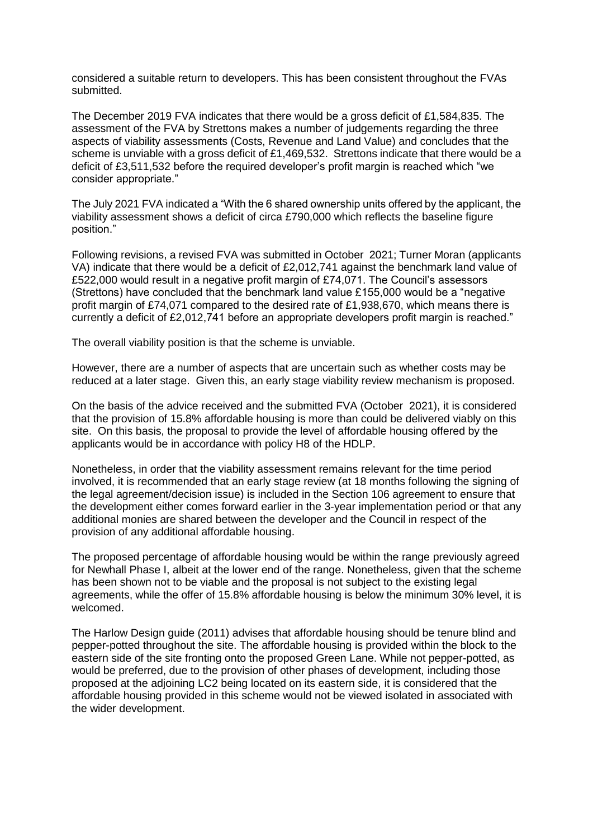considered a suitable return to developers. This has been consistent throughout the FVAs submitted.

The December 2019 FVA indicates that there would be a gross deficit of £1,584,835. The assessment of the FVA by Strettons makes a number of judgements regarding the three aspects of viability assessments (Costs, Revenue and Land Value) and concludes that the scheme is unviable with a gross deficit of £1,469,532. Strettons indicate that there would be a deficit of £3,511,532 before the required developer's profit margin is reached which "we consider appropriate."

The July 2021 FVA indicated a "With the 6 shared ownership units offered by the applicant, the viability assessment shows a deficit of circa £790,000 which reflects the baseline figure position."

Following revisions, a revised FVA was submitted in October 2021; Turner Moran (applicants VA) indicate that there would be a deficit of £2,012,741 against the benchmark land value of £522,000 would result in a negative profit margin of £74,071. The Council's assessors (Strettons) have concluded that the benchmark land value £155,000 would be a "negative profit margin of £74,071 compared to the desired rate of £1,938,670, which means there is currently a deficit of £2,012,741 before an appropriate developers profit margin is reached."

The overall viability position is that the scheme is unviable.

However, there are a number of aspects that are uncertain such as whether costs may be reduced at a later stage. Given this, an early stage viability review mechanism is proposed.

On the basis of the advice received and the submitted FVA (October 2021), it is considered that the provision of 15.8% affordable housing is more than could be delivered viably on this site. On this basis, the proposal to provide the level of affordable housing offered by the applicants would be in accordance with policy H8 of the HDLP.

Nonetheless, in order that the viability assessment remains relevant for the time period involved, it is recommended that an early stage review (at 18 months following the signing of the legal agreement/decision issue) is included in the Section 106 agreement to ensure that the development either comes forward earlier in the 3-year implementation period or that any additional monies are shared between the developer and the Council in respect of the provision of any additional affordable housing.

The proposed percentage of affordable housing would be within the range previously agreed for Newhall Phase I, albeit at the lower end of the range. Nonetheless, given that the scheme has been shown not to be viable and the proposal is not subject to the existing legal agreements, while the offer of 15.8% affordable housing is below the minimum 30% level, it is welcomed.

The Harlow Design guide (2011) advises that affordable housing should be tenure blind and pepper-potted throughout the site. The affordable housing is provided within the block to the eastern side of the site fronting onto the proposed Green Lane. While not pepper-potted, as would be preferred, due to the provision of other phases of development, including those proposed at the adjoining LC2 being located on its eastern side, it is considered that the affordable housing provided in this scheme would not be viewed isolated in associated with the wider development.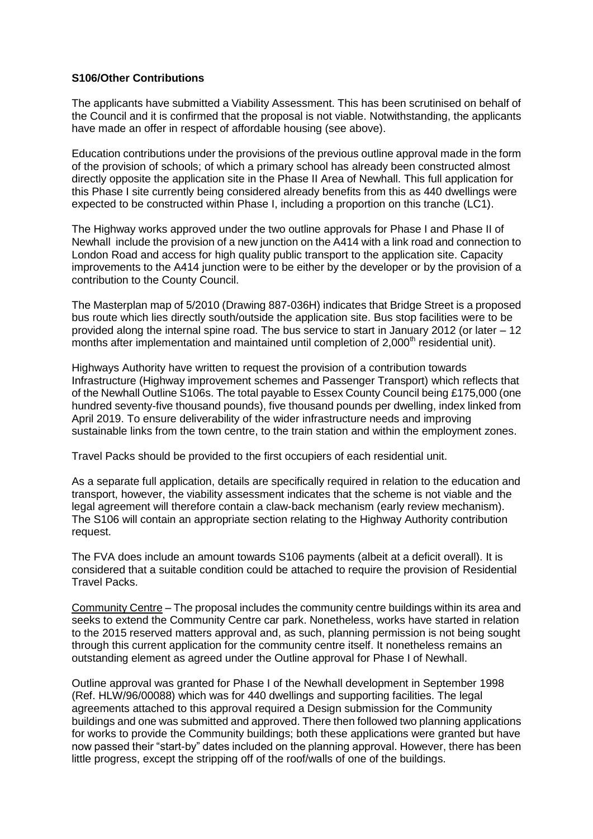#### **S106/Other Contributions**

The applicants have submitted a Viability Assessment. This has been scrutinised on behalf of the Council and it is confirmed that the proposal is not viable. Notwithstanding, the applicants have made an offer in respect of affordable housing (see above).

Education contributions under the provisions of the previous outline approval made in the form of the provision of schools; of which a primary school has already been constructed almost directly opposite the application site in the Phase II Area of Newhall. This full application for this Phase I site currently being considered already benefits from this as 440 dwellings were expected to be constructed within Phase I, including a proportion on this tranche (LC1).

The Highway works approved under the two outline approvals for Phase I and Phase II of Newhall include the provision of a new junction on the A414 with a link road and connection to London Road and access for high quality public transport to the application site. Capacity improvements to the A414 junction were to be either by the developer or by the provision of a contribution to the County Council.

The Masterplan map of 5/2010 (Drawing 887-036H) indicates that Bridge Street is a proposed bus route which lies directly south/outside the application site. Bus stop facilities were to be provided along the internal spine road. The bus service to start in January 2012 (or later – 12 months after implementation and maintained until completion of 2,000<sup>th</sup> residential unit).

Highways Authority have written to request the provision of a contribution towards Infrastructure (Highway improvement schemes and Passenger Transport) which reflects that of the Newhall Outline S106s. The total payable to Essex County Council being £175,000 (one hundred seventy-five thousand pounds), five thousand pounds per dwelling, index linked from April 2019. To ensure deliverability of the wider infrastructure needs and improving sustainable links from the town centre, to the train station and within the employment zones.

Travel Packs should be provided to the first occupiers of each residential unit.

As a separate full application, details are specifically required in relation to the education and transport, however, the viability assessment indicates that the scheme is not viable and the legal agreement will therefore contain a claw-back mechanism (early review mechanism). The S106 will contain an appropriate section relating to the Highway Authority contribution request.

The FVA does include an amount towards S106 payments (albeit at a deficit overall). It is considered that a suitable condition could be attached to require the provision of Residential Travel Packs.

Community Centre – The proposal includes the community centre buildings within its area and seeks to extend the Community Centre car park. Nonetheless, works have started in relation to the 2015 reserved matters approval and, as such, planning permission is not being sought through this current application for the community centre itself. It nonetheless remains an outstanding element as agreed under the Outline approval for Phase I of Newhall.

Outline approval was granted for Phase I of the Newhall development in September 1998 (Ref. HLW/96/00088) which was for 440 dwellings and supporting facilities. The legal agreements attached to this approval required a Design submission for the Community buildings and one was submitted and approved. There then followed two planning applications for works to provide the Community buildings; both these applications were granted but have now passed their "start-by" dates included on the planning approval. However, there has been little progress, except the stripping off of the roof/walls of one of the buildings.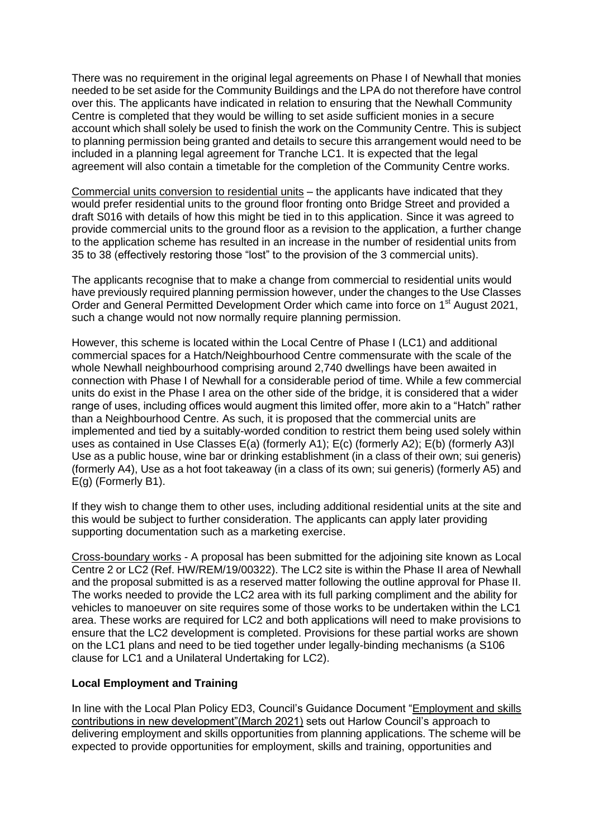There was no requirement in the original legal agreements on Phase I of Newhall that monies needed to be set aside for the Community Buildings and the LPA do not therefore have control over this. The applicants have indicated in relation to ensuring that the Newhall Community Centre is completed that they would be willing to set aside sufficient monies in a secure account which shall solely be used to finish the work on the Community Centre. This is subject to planning permission being granted and details to secure this arrangement would need to be included in a planning legal agreement for Tranche LC1. It is expected that the legal agreement will also contain a timetable for the completion of the Community Centre works.

Commercial units conversion to residential units – the applicants have indicated that they would prefer residential units to the ground floor fronting onto Bridge Street and provided a draft S016 with details of how this might be tied in to this application. Since it was agreed to provide commercial units to the ground floor as a revision to the application, a further change to the application scheme has resulted in an increase in the number of residential units from 35 to 38 (effectively restoring those "lost" to the provision of the 3 commercial units).

The applicants recognise that to make a change from commercial to residential units would have previously required planning permission however, under the changes to the Use Classes Order and General Permitted Development Order which came into force on 1<sup>st</sup> August 2021, such a change would not now normally require planning permission.

However, this scheme is located within the Local Centre of Phase I (LC1) and additional commercial spaces for a Hatch/Neighbourhood Centre commensurate with the scale of the whole Newhall neighbourhood comprising around 2,740 dwellings have been awaited in connection with Phase I of Newhall for a considerable period of time. While a few commercial units do exist in the Phase I area on the other side of the bridge, it is considered that a wider range of uses, including offices would augment this limited offer, more akin to a "Hatch" rather than a Neighbourhood Centre. As such, it is proposed that the commercial units are implemented and tied by a suitably-worded condition to restrict them being used solely within uses as contained in Use Classes E(a) (formerly A1); E(c) (formerly A2); E(b) (formerly A3)l Use as a public house, wine bar or drinking establishment (in a class of their own; sui generis) (formerly A4), Use as a hot foot takeaway (in a class of its own; sui generis) (formerly A5) and E(g) (Formerly B1).

If they wish to change them to other uses, including additional residential units at the site and this would be subject to further consideration. The applicants can apply later providing supporting documentation such as a marketing exercise.

Cross-boundary works - A proposal has been submitted for the adjoining site known as Local Centre 2 or LC2 (Ref. HW/REM/19/00322). The LC2 site is within the Phase II area of Newhall and the proposal submitted is as a reserved matter following the outline approval for Phase II. The works needed to provide the LC2 area with its full parking compliment and the ability for vehicles to manoeuver on site requires some of those works to be undertaken within the LC1 area. These works are required for LC2 and both applications will need to make provisions to ensure that the LC2 development is completed. Provisions for these partial works are shown on the LC1 plans and need to be tied together under legally-binding mechanisms (a S106 clause for LC1 and a Unilateral Undertaking for LC2).

## **Local Employment and Training**

In line with the Local Plan Policy ED3, Council's Guidance Document ["Employment and skills](https://www.harlow.gov.uk/sites/default/files/documents/Employment%20and%20skills%20contributions%20in%20new%20development%20guidance%20document.pdf)  [contributions in new development"\(March 2021\)](https://www.harlow.gov.uk/sites/default/files/documents/Employment%20and%20skills%20contributions%20in%20new%20development%20guidance%20document.pdf) sets out Harlow Council's approach to delivering employment and skills opportunities from planning applications. The scheme will be expected to provide opportunities for employment, skills and training, opportunities and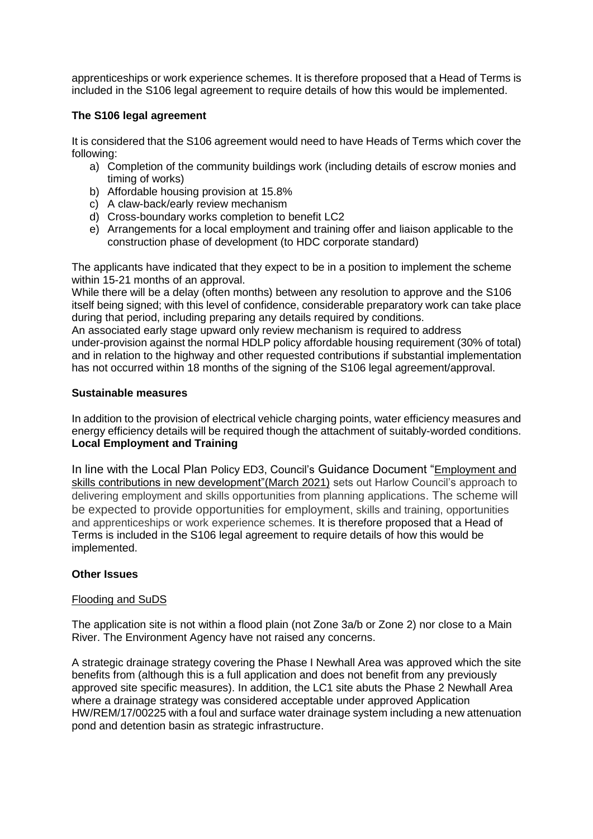apprenticeships or work experience schemes. It is therefore proposed that a Head of Terms is included in the S106 legal agreement to require details of how this would be implemented.

## **The S106 legal agreement**

It is considered that the S106 agreement would need to have Heads of Terms which cover the following:

- a) Completion of the community buildings work (including details of escrow monies and timing of works)
- b) Affordable housing provision at 15.8%
- c) A claw-back/early review mechanism
- d) Cross-boundary works completion to benefit LC2
- e) Arrangements for a local employment and training offer and liaison applicable to the construction phase of development (to HDC corporate standard)

The applicants have indicated that they expect to be in a position to implement the scheme within 15-21 months of an approval.

While there will be a delay (often months) between any resolution to approve and the S106 itself being signed; with this level of confidence, considerable preparatory work can take place during that period, including preparing any details required by conditions.

An associated early stage upward only review mechanism is required to address under-provision against the normal HDLP policy affordable housing requirement (30% of total) and in relation to the highway and other requested contributions if substantial implementation has not occurred within 18 months of the signing of the S106 legal agreement/approval.

#### **Sustainable measures**

In addition to the provision of electrical vehicle charging points, water efficiency measures and energy efficiency details will be required though the attachment of suitably-worded conditions. **Local Employment and Training**

In line with the Local Plan Policy ED3, Council's Guidance Document "[Employment and](https://www.harlow.gov.uk/sites/default/files/documents/Employment%20and%20skills%20contributions%20in%20new%20development%20guidance%20document.pdf)  [skills contributions in new development"\(March 2021\)](https://www.harlow.gov.uk/sites/default/files/documents/Employment%20and%20skills%20contributions%20in%20new%20development%20guidance%20document.pdf) sets out Harlow Council's approach to delivering employment and skills opportunities from planning applications. The scheme will be expected to provide opportunities for employment, skills and training, opportunities and apprenticeships or work experience schemes. It is therefore proposed that a Head of Terms is included in the S106 legal agreement to require details of how this would be implemented.

## **Other Issues**

## Flooding and SuDS

The application site is not within a flood plain (not Zone 3a/b or Zone 2) nor close to a Main River. The Environment Agency have not raised any concerns.

A strategic drainage strategy covering the Phase I Newhall Area was approved which the site benefits from (although this is a full application and does not benefit from any previously approved site specific measures). In addition, the LC1 site abuts the Phase 2 Newhall Area where a drainage strategy was considered acceptable under approved Application HW/REM/17/00225 with a foul and surface water drainage system including a new attenuation pond and detention basin as strategic infrastructure.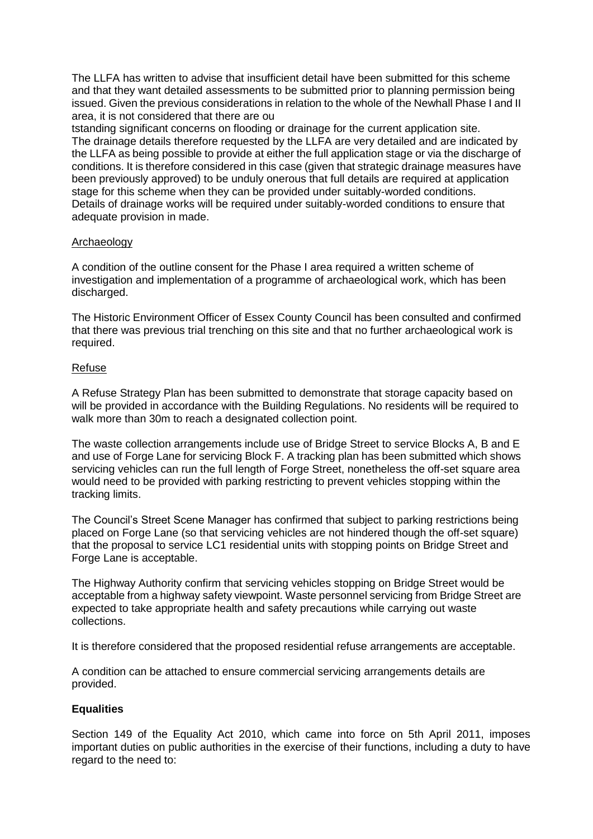The LLFA has written to advise that insufficient detail have been submitted for this scheme and that they want detailed assessments to be submitted prior to planning permission being issued. Given the previous considerations in relation to the whole of the Newhall Phase I and II area, it is not considered that there are ou

tstanding significant concerns on flooding or drainage for the current application site. The drainage details therefore requested by the LLFA are very detailed and are indicated by the LLFA as being possible to provide at either the full application stage or via the discharge of conditions. It is therefore considered in this case (given that strategic drainage measures have been previously approved) to be unduly onerous that full details are required at application stage for this scheme when they can be provided under suitably-worded conditions. Details of drainage works will be required under suitably-worded conditions to ensure that adequate provision in made.

## Archaeology

A condition of the outline consent for the Phase I area required a written scheme of investigation and implementation of a programme of archaeological work, which has been discharged.

The Historic Environment Officer of Essex County Council has been consulted and confirmed that there was previous trial trenching on this site and that no further archaeological work is required.

## Refuse

A Refuse Strategy Plan has been submitted to demonstrate that storage capacity based on will be provided in accordance with the Building Regulations. No residents will be required to walk more than 30m to reach a designated collection point.

The waste collection arrangements include use of Bridge Street to service Blocks A, B and E and use of Forge Lane for servicing Block F. A tracking plan has been submitted which shows servicing vehicles can run the full length of Forge Street, nonetheless the off-set square area would need to be provided with parking restricting to prevent vehicles stopping within the tracking limits.

The Council's Street Scene Manager has confirmed that subject to parking restrictions being placed on Forge Lane (so that servicing vehicles are not hindered though the off-set square) that the proposal to service LC1 residential units with stopping points on Bridge Street and Forge Lane is acceptable.

The Highway Authority confirm that servicing vehicles stopping on Bridge Street would be acceptable from a highway safety viewpoint. Waste personnel servicing from Bridge Street are expected to take appropriate health and safety precautions while carrying out waste collections.

It is therefore considered that the proposed residential refuse arrangements are acceptable.

A condition can be attached to ensure commercial servicing arrangements details are provided.

## **Equalities**

Section 149 of the Equality Act 2010, which came into force on 5th April 2011, imposes important duties on public authorities in the exercise of their functions, including a duty to have regard to the need to: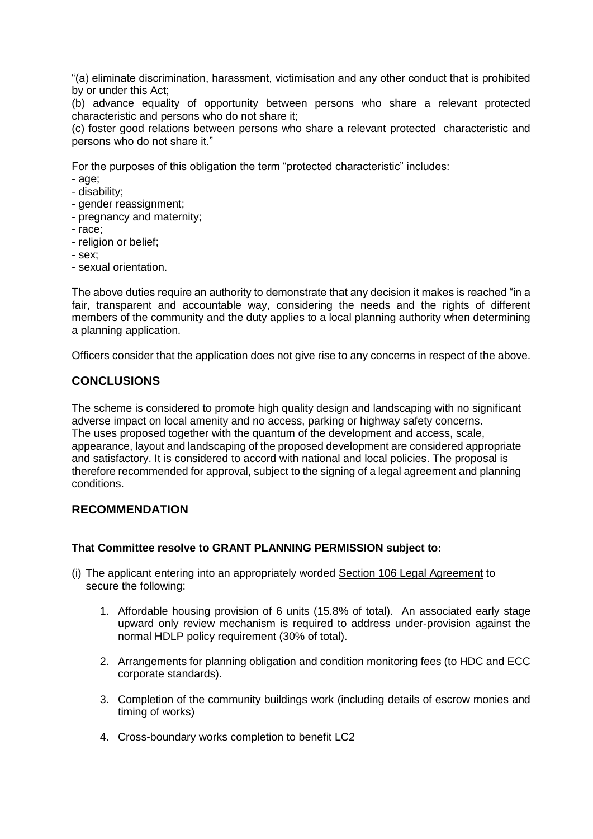"(a) eliminate discrimination, harassment, victimisation and any other conduct that is prohibited by or under this Act;

(b) advance equality of opportunity between persons who share a relevant protected characteristic and persons who do not share it;

(c) foster good relations between persons who share a relevant protected characteristic and persons who do not share it."

For the purposes of this obligation the term "protected characteristic" includes:

- age;
- disability;
- gender reassignment;
- pregnancy and maternity;
- race;
- religion or belief;
- sex;
- sexual orientation.

The above duties require an authority to demonstrate that any decision it makes is reached "in a fair, transparent and accountable way, considering the needs and the rights of different members of the community and the duty applies to a local planning authority when determining a planning application.

Officers consider that the application does not give rise to any concerns in respect of the above.

# **CONCLUSIONS**

The scheme is considered to promote high quality design and landscaping with no significant adverse impact on local amenity and no access, parking or highway safety concerns. The uses proposed together with the quantum of the development and access, scale, appearance, layout and landscaping of the proposed development are considered appropriate and satisfactory. It is considered to accord with national and local policies. The proposal is therefore recommended for approval, subject to the signing of a legal agreement and planning conditions.

# **RECOMMENDATION**

## **That Committee resolve to GRANT PLANNING PERMISSION subject to:**

- (i) The applicant entering into an appropriately worded Section 106 Legal Agreement to secure the following:
	- 1. Affordable housing provision of 6 units (15.8% of total). An associated early stage upward only review mechanism is required to address under-provision against the normal HDLP policy requirement (30% of total).
	- 2. Arrangements for planning obligation and condition monitoring fees (to HDC and ECC corporate standards).
	- 3. Completion of the community buildings work (including details of escrow monies and timing of works)
	- 4. Cross-boundary works completion to benefit LC2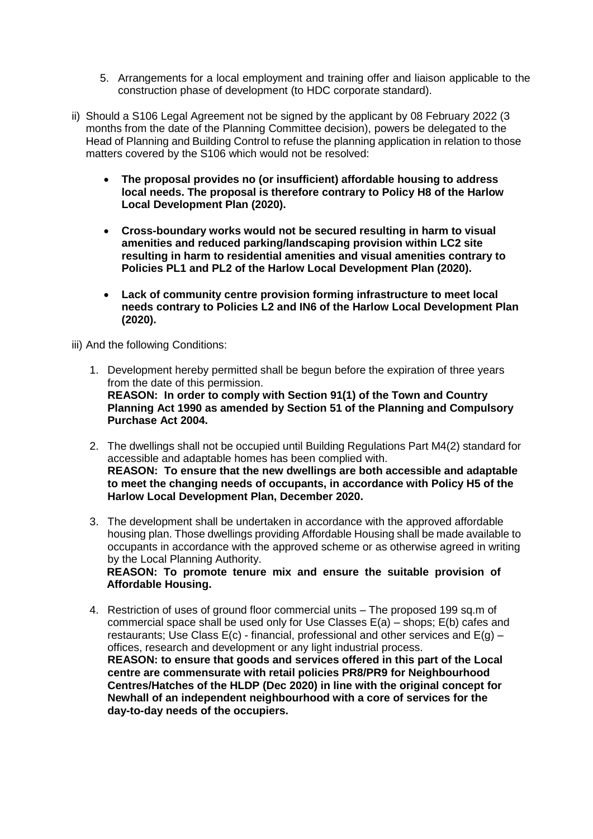- 5. Arrangements for a local employment and training offer and liaison applicable to the construction phase of development (to HDC corporate standard).
- ii) Should a S106 Legal Agreement not be signed by the applicant by 08 February 2022 (3 months from the date of the Planning Committee decision), powers be delegated to the Head of Planning and Building Control to refuse the planning application in relation to those matters covered by the S106 which would not be resolved:
	- **The proposal provides no (or insufficient) affordable housing to address local needs. The proposal is therefore contrary to Policy H8 of the Harlow Local Development Plan (2020).**
	- **Cross-boundary works would not be secured resulting in harm to visual amenities and reduced parking/landscaping provision within LC2 site resulting in harm to residential amenities and visual amenities contrary to Policies PL1 and PL2 of the Harlow Local Development Plan (2020).**
	- **Lack of community centre provision forming infrastructure to meet local needs contrary to Policies L2 and IN6 of the Harlow Local Development Plan (2020).**

iii) And the following Conditions:

- 1. Development hereby permitted shall be begun before the expiration of three years from the date of this permission. **REASON: In order to comply with Section 91(1) of the Town and Country Planning Act 1990 as amended by Section 51 of the Planning and Compulsory Purchase Act 2004.**
- 2. The dwellings shall not be occupied until Building Regulations Part M4(2) standard for accessible and adaptable homes has been complied with. **REASON: To ensure that the new dwellings are both accessible and adaptable to meet the changing needs of occupants, in accordance with Policy H5 of the Harlow Local Development Plan, December 2020.**
- 3. The development shall be undertaken in accordance with the approved affordable housing plan. Those dwellings providing Affordable Housing shall be made available to occupants in accordance with the approved scheme or as otherwise agreed in writing by the Local Planning Authority.

**REASON: To promote tenure mix and ensure the suitable provision of Affordable Housing.** 

4. Restriction of uses of ground floor commercial units – The proposed 199 sq.m of commercial space shall be used only for Use Classes E(a) – shops; E(b) cafes and restaurants; Use Class  $E(c)$  - financial, professional and other services and  $E(q)$  – offices, research and development or any light industrial process. **REASON: to ensure that goods and services offered in this part of the Local centre are commensurate with retail policies PR8/PR9 for Neighbourhood Centres/Hatches of the HLDP (Dec 2020) in line with the original concept for Newhall of an independent neighbourhood with a core of services for the day-to-day needs of the occupiers.**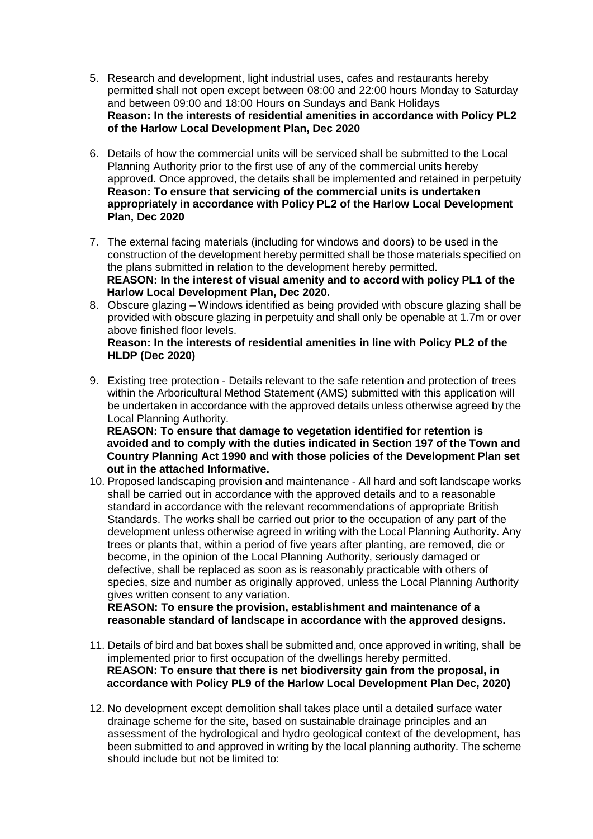- 5. Research and development, light industrial uses, cafes and restaurants hereby permitted shall not open except between 08:00 and 22:00 hours Monday to Saturday and between 09:00 and 18:00 Hours on Sundays and Bank Holidays **Reason: In the interests of residential amenities in accordance with Policy PL2 of the Harlow Local Development Plan, Dec 2020**
- 6. Details of how the commercial units will be serviced shall be submitted to the Local Planning Authority prior to the first use of any of the commercial units hereby approved. Once approved, the details shall be implemented and retained in perpetuity **Reason: To ensure that servicing of the commercial units is undertaken appropriately in accordance with Policy PL2 of the Harlow Local Development Plan, Dec 2020**
- 7. The external facing materials (including for windows and doors) to be used in the construction of the development hereby permitted shall be those materials specified on the plans submitted in relation to the development hereby permitted. **REASON: In the interest of visual amenity and to accord with policy PL1 of the Harlow Local Development Plan, Dec 2020.**
- 8. Obscure glazing Windows identified as being provided with obscure glazing shall be provided with obscure glazing in perpetuity and shall only be openable at 1.7m or over above finished floor levels.

## **Reason: In the interests of residential amenities in line with Policy PL2 of the HLDP (Dec 2020)**

9. Existing tree protection - Details relevant to the safe retention and protection of trees within the Arboricultural Method Statement (AMS) submitted with this application will be undertaken in accordance with the approved details unless otherwise agreed by the Local Planning Authority.

**REASON: To ensure that damage to vegetation identified for retention is avoided and to comply with the duties indicated in Section 197 of the Town and Country Planning Act 1990 and with those policies of the Development Plan set out in the attached Informative.**

10. Proposed landscaping provision and maintenance - All hard and soft landscape works shall be carried out in accordance with the approved details and to a reasonable standard in accordance with the relevant recommendations of appropriate British Standards. The works shall be carried out prior to the occupation of any part of the development unless otherwise agreed in writing with the Local Planning Authority. Any trees or plants that, within a period of five years after planting, are removed, die or become, in the opinion of the Local Planning Authority, seriously damaged or defective, shall be replaced as soon as is reasonably practicable with others of species, size and number as originally approved, unless the Local Planning Authority gives written consent to any variation.

**REASON: To ensure the provision, establishment and maintenance of a reasonable standard of landscape in accordance with the approved designs.**

- 11. Details of bird and bat boxes shall be submitted and, once approved in writing, shall be implemented prior to first occupation of the dwellings hereby permitted. **REASON: To ensure that there is net biodiversity gain from the proposal, in accordance with Policy PL9 of the Harlow Local Development Plan Dec, 2020)**
- 12. No development except demolition shall takes place until a detailed surface water drainage scheme for the site, based on sustainable drainage principles and an assessment of the hydrological and hydro geological context of the development, has been submitted to and approved in writing by the local planning authority. The scheme should include but not be limited to: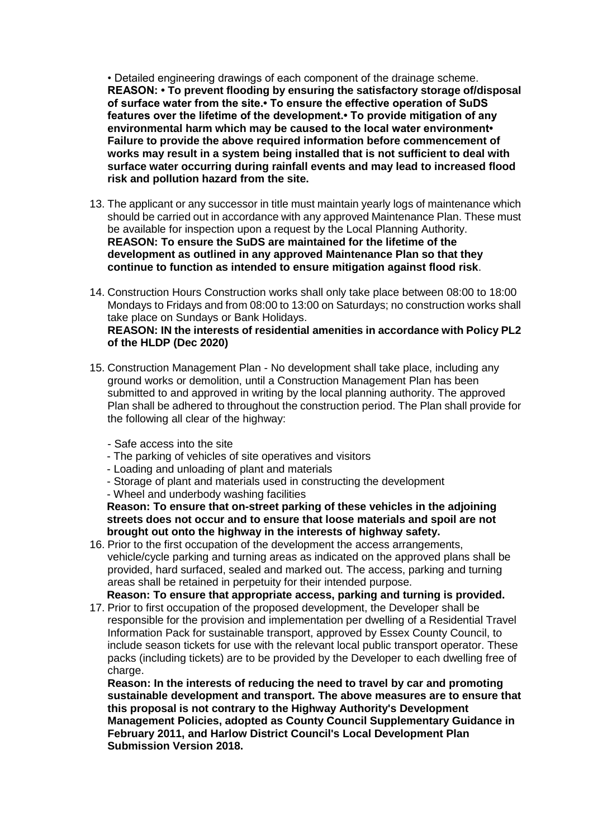• Detailed engineering drawings of each component of the drainage scheme. **REASON: • To prevent flooding by ensuring the satisfactory storage of/disposal of surface water from the site.• To ensure the effective operation of SuDS features over the lifetime of the development.• To provide mitigation of any environmental harm which may be caused to the local water environment• Failure to provide the above required information before commencement of works may result in a system being installed that is not sufficient to deal with surface water occurring during rainfall events and may lead to increased flood risk and pollution hazard from the site.**

- 13. The applicant or any successor in title must maintain yearly logs of maintenance which should be carried out in accordance with any approved Maintenance Plan. These must be available for inspection upon a request by the Local Planning Authority. **REASON: To ensure the SuDS are maintained for the lifetime of the development as outlined in any approved Maintenance Plan so that they continue to function as intended to ensure mitigation against flood risk**.
- 14. Construction Hours Construction works shall only take place between 08:00 to 18:00 Mondays to Fridays and from 08:00 to 13:00 on Saturdays; no construction works shall take place on Sundays or Bank Holidays. **REASON: IN the interests of residential amenities in accordance with Policy PL2 of the HLDP (Dec 2020)**
- 15. Construction Management Plan No development shall take place, including any ground works or demolition, until a Construction Management Plan has been submitted to and approved in writing by the local planning authority. The approved Plan shall be adhered to throughout the construction period. The Plan shall provide for the following all clear of the highway:
	- Safe access into the site
	- The parking of vehicles of site operatives and visitors
	- Loading and unloading of plant and materials
	- Storage of plant and materials used in constructing the development
	- Wheel and underbody washing facilities

**Reason: To ensure that on-street parking of these vehicles in the adjoining streets does not occur and to ensure that loose materials and spoil are not brought out onto the highway in the interests of highway safety.**

- 16. Prior to the first occupation of the development the access arrangements, vehicle/cycle parking and turning areas as indicated on the approved plans shall be provided, hard surfaced, sealed and marked out. The access, parking and turning areas shall be retained in perpetuity for their intended purpose. **Reason: To ensure that appropriate access, parking and turning is provided.**
- 17. Prior to first occupation of the proposed development, the Developer shall be responsible for the provision and implementation per dwelling of a Residential Travel Information Pack for sustainable transport, approved by Essex County Council, to include season tickets for use with the relevant local public transport operator. These packs (including tickets) are to be provided by the Developer to each dwelling free of charge.

**Reason: In the interests of reducing the need to travel by car and promoting sustainable development and transport. The above measures are to ensure that this proposal is not contrary to the Highway Authority's Development Management Policies, adopted as County Council Supplementary Guidance in February 2011, and Harlow District Council's Local Development Plan Submission Version 2018.**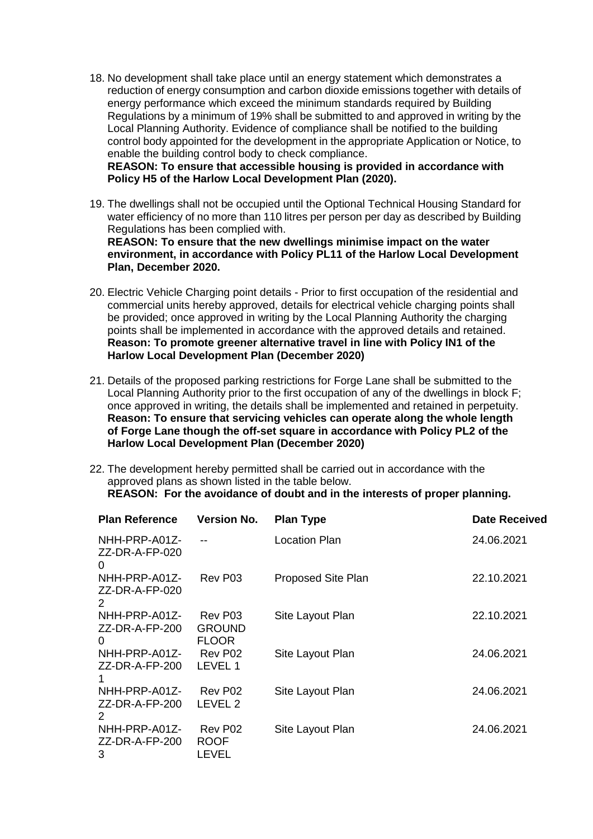18. No development shall take place until an energy statement which demonstrates a reduction of energy consumption and carbon dioxide emissions together with details of energy performance which exceed the minimum standards required by Building Regulations by a minimum of 19% shall be submitted to and approved in writing by the Local Planning Authority. Evidence of compliance shall be notified to the building control body appointed for the development in the appropriate Application or Notice, to enable the building control body to check compliance.

**REASON: To ensure that accessible housing is provided in accordance with Policy H5 of the Harlow Local Development Plan (2020).**

- 19. The dwellings shall not be occupied until the Optional Technical Housing Standard for water efficiency of no more than 110 litres per person per day as described by Building Regulations has been complied with. **REASON: To ensure that the new dwellings minimise impact on the water environment, in accordance with Policy PL11 of the Harlow Local Development Plan, December 2020.**
- 20. Electric Vehicle Charging point details Prior to first occupation of the residential and commercial units hereby approved, details for electrical vehicle charging points shall be provided; once approved in writing by the Local Planning Authority the charging points shall be implemented in accordance with the approved details and retained. **Reason: To promote greener alternative travel in line with Policy IN1 of the Harlow Local Development Plan (December 2020)**
- 21. Details of the proposed parking restrictions for Forge Lane shall be submitted to the Local Planning Authority prior to the first occupation of any of the dwellings in block F; once approved in writing, the details shall be implemented and retained in perpetuity. **Reason: To ensure that servicing vehicles can operate along the whole length of Forge Lane though the off-set square in accordance with Policy PL2 of the Harlow Local Development Plan (December 2020)**
- 22. The development hereby permitted shall be carried out in accordance with the approved plans as shown listed in the table below. **REASON: For the avoidance of doubt and in the interests of proper planning.**

| <b>Plan Reference</b>                       | <b>Version No.</b>                       | <b>Plan Type</b>     | Date Received |
|---------------------------------------------|------------------------------------------|----------------------|---------------|
| NHH-PRP-A01Z-<br>ZZ-DR-A-FP-020<br>0        |                                          | <b>Location Plan</b> | 24.06.2021    |
| NHH-PRP-A01Z-<br>ZZ-DR-A-FP-020<br>2        | Rev P03                                  | Proposed Site Plan   | 22.10.2021    |
| NHH-PRP-A01Z-<br>ZZ-DR-A-FP-200<br>$\Omega$ | Rev P03<br><b>GROUND</b><br><b>FLOOR</b> | Site Layout Plan     | 22.10.2021    |
| NHH-PRP-A01Z-<br>ZZ-DR-A-FP-200             | Rev P02<br>LEVEL 1                       | Site Layout Plan     | 24.06.2021    |
| NHH-PRP-A01Z-<br>ZZ-DR-A-FP-200<br>2        | Rev P02<br>LEVEL 2                       | Site Layout Plan     | 24.06.2021    |
| NHH-PRP-A01Z-<br>ZZ-DR-A-FP-200<br>3        | Rev P02<br><b>ROOF</b><br>LEVEL          | Site Layout Plan     | 24.06.2021    |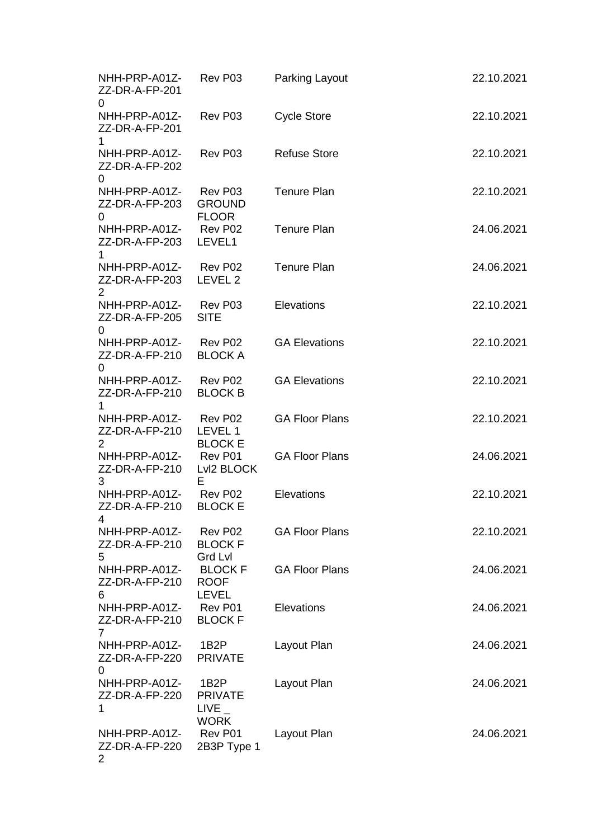| NHH-PRP-A01Z-<br>ZZ-DR-A-FP-201<br>0           | Rev P03                                                    | <b>Parking Layout</b> | 22.10.2021 |
|------------------------------------------------|------------------------------------------------------------|-----------------------|------------|
| NHH-PRP-A01Z-<br>ZZ-DR-A-FP-201<br>1.          | Rev P03                                                    | <b>Cycle Store</b>    | 22.10.2021 |
| NHH-PRP-A01Z-<br>ZZ-DR-A-FP-202<br>0           | Rev P03                                                    | <b>Refuse Store</b>   | 22.10.2021 |
| NHH-PRP-A01Z-<br>ZZ-DR-A-FP-203<br>0           | Rev P03<br><b>GROUND</b><br><b>FLOOR</b>                   | <b>Tenure Plan</b>    | 22.10.2021 |
| NHH-PRP-A01Z-<br>ZZ-DR-A-FP-203<br>1           | Rev P02<br>LEVEL1                                          | <b>Tenure Plan</b>    | 24.06.2021 |
| NHH-PRP-A01Z-<br>ZZ-DR-A-FP-203<br>2           | Rev P02<br>LEVEL 2                                         | <b>Tenure Plan</b>    | 24.06.2021 |
| NHH-PRP-A01Z-<br>ZZ-DR-A-FP-205<br>$\mathbf 0$ | Rev P03<br><b>SITE</b>                                     | Elevations            | 22.10.2021 |
| NHH-PRP-A01Z-<br>ZZ-DR-A-FP-210<br>0           | Rev P02<br><b>BLOCK A</b>                                  | <b>GA Elevations</b>  | 22.10.2021 |
| NHH-PRP-A01Z- Rev P02<br>ZZ-DR-A-FP-210        | <b>BLOCK B</b>                                             | <b>GA Elevations</b>  | 22.10.2021 |
| NHH-PRP-A01Z-<br>ZZ-DR-A-FP-210<br>2           | Rev P02<br>LEVEL 1<br><b>BLOCK E</b>                       | <b>GA Floor Plans</b> | 22.10.2021 |
| NHH-PRP-A01Z-<br>ZZ-DR-A-FP-210<br>3           | Rev P01<br>Lvl2 BLOCK<br>Е                                 | <b>GA Floor Plans</b> | 24.06.2021 |
| NHH-PRP-A01Z-<br>ZZ-DR-A-FP-210<br>4           | Rev P02<br><b>BLOCK E</b>                                  | Elevations            | 22.10.2021 |
| NHH-PRP-A01Z-<br>ZZ-DR-A-FP-210<br>5           | Rev P02<br><b>BLOCK F</b><br><b>Grd Lvl</b>                | <b>GA Floor Plans</b> | 22.10.2021 |
| NHH-PRP-A01Z-<br>ZZ-DR-A-FP-210<br>6           | <b>BLOCK F</b><br><b>ROOF</b><br><b>LEVEL</b>              | <b>GA Floor Plans</b> | 24.06.2021 |
| NHH-PRP-A01Z-<br>ZZ-DR-A-FP-210<br>7           | Rev P01<br><b>BLOCK F</b>                                  | Elevations            | 24.06.2021 |
| NHH-PRP-A01Z-<br>ZZ-DR-A-FP-220<br>$\Omega$    | 1B2P<br><b>PRIVATE</b>                                     | Layout Plan           | 24.06.2021 |
| NHH-PRP-A01Z-<br>ZZ-DR-A-FP-220<br>1           | 1B <sub>2</sub> P<br><b>PRIVATE</b><br>LIVE<br><b>WORK</b> | Layout Plan           | 24.06.2021 |
| NHH-PRP-A01Z-<br>ZZ-DR-A-FP-220<br>2           | Rev P01<br>2B3P Type 1                                     | Layout Plan           | 24.06.2021 |